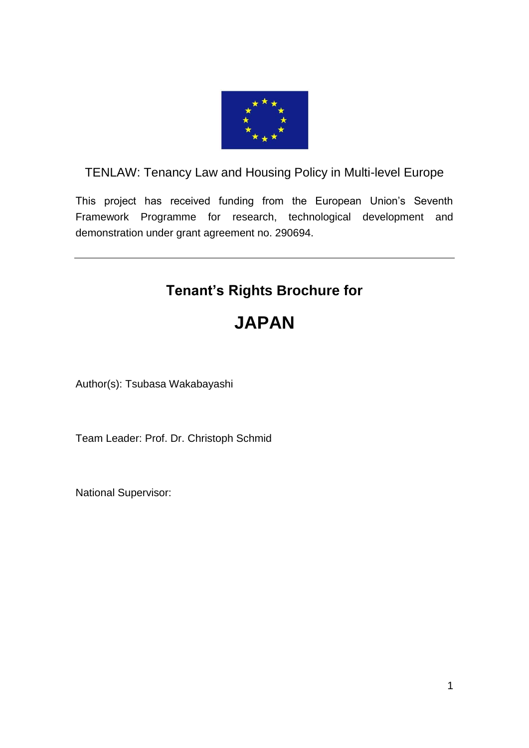

# TENLAW: Tenancy Law and Housing Policy in Multi-level Europe

This project has received funding from the European Union's Seventh Framework Programme for research, technological development and demonstration under grant agreement no. 290694.

# **Tenant's Rights Brochure for**

# **JAPAN**

Author(s): Tsubasa Wakabayashi

Team Leader: Prof. Dr. Christoph Schmid

National Supervisor: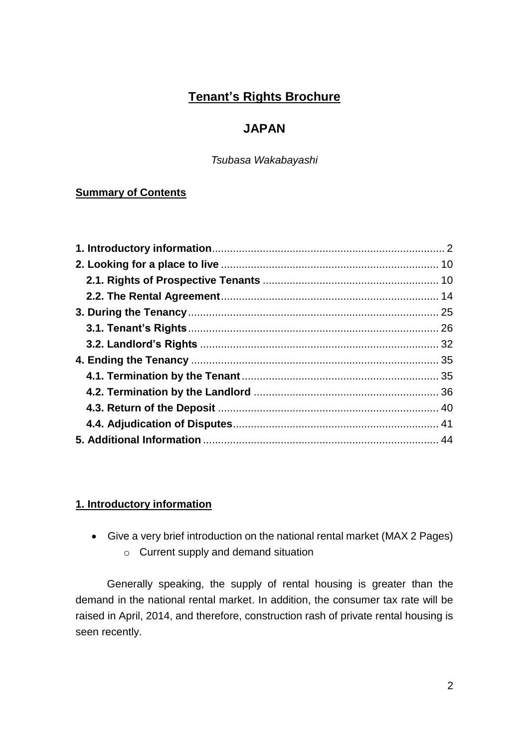# **Tenant's Rights Brochure**

# **JAPAN**

*Tsubasa Wakabayashi*

# **Summary of Contents**

# <span id="page-1-0"></span>**1. Introductory information**

- Give a very brief introduction on the national rental market (MAX 2 Pages)
	- o Current supply and demand situation

Generally speaking, the supply of rental housing is greater than the demand in the national rental market. In addition, the consumer tax rate will be raised in April, 2014, and therefore, construction rash of private rental housing is seen recently.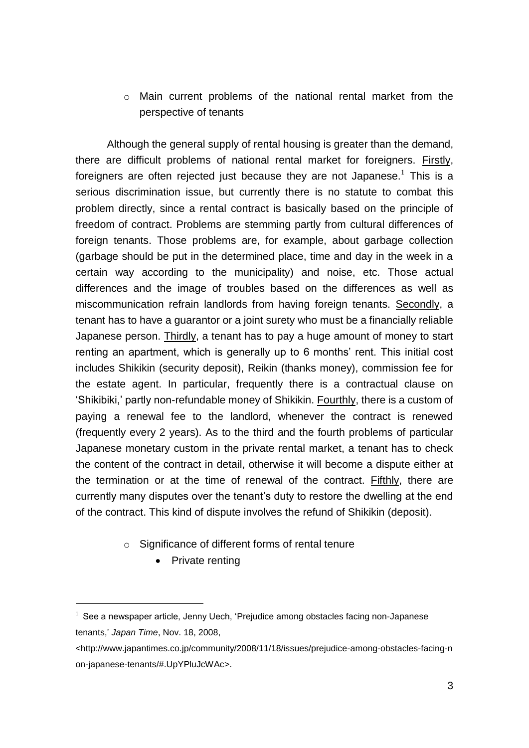o Main current problems of the national rental market from the perspective of tenants

Although the general supply of rental housing is greater than the demand, there are difficult problems of national rental market for foreigners. Firstly, foreigners are often rejected just because they are not Japanese.<sup>1</sup> This is a serious discrimination issue, but currently there is no statute to combat this problem directly, since a rental contract is basically based on the principle of freedom of contract. Problems are stemming partly from cultural differences of foreign tenants. Those problems are, for example, about garbage collection (garbage should be put in the determined place, time and day in the week in a certain way according to the municipality) and noise, etc. Those actual differences and the image of troubles based on the differences as well as miscommunication refrain landlords from having foreign tenants. Secondly, a tenant has to have a guarantor or a joint surety who must be a financially reliable Japanese person. Thirdly, a tenant has to pay a huge amount of money to start renting an apartment, which is generally up to 6 months' rent. This initial cost includes Shikikin (security deposit), Reikin (thanks money), commission fee for the estate agent. In particular, frequently there is a contractual clause on 'Shikibiki,' partly non-refundable money of Shikikin. Fourthly, there is a custom of paying a renewal fee to the landlord, whenever the contract is renewed (frequently every 2 years). As to the third and the fourth problems of particular Japanese monetary custom in the private rental market, a tenant has to check the content of the contract in detail, otherwise it will become a dispute either at the termination or at the time of renewal of the contract. Fifthly, there are currently many disputes over the tenant's duty to restore the dwelling at the end of the contract. This kind of dispute involves the refund of Shikikin (deposit).

- o Significance of different forms of rental tenure
	- Private renting

 $1$  See a newspaper article, Jenny Uech, 'Prejudice among obstacles facing non-Japanese tenants,' *Japan Time*, Nov. 18, 2008,

<sup>&</sup>lt;http://www.japantimes.co.jp/community/2008/11/18/issues/prejudice-among-obstacles-facing-n on-japanese-tenants/#.UpYPluJcWAc>.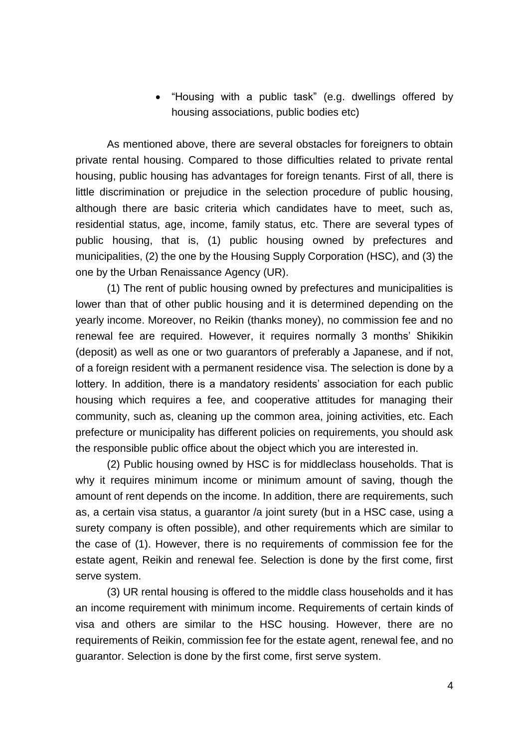"Housing with a public task" (e.g. dwellings offered by housing associations, public bodies etc)

As mentioned above, there are several obstacles for foreigners to obtain private rental housing. Compared to those difficulties related to private rental housing, public housing has advantages for foreign tenants. First of all, there is little discrimination or prejudice in the selection procedure of public housing, although there are basic criteria which candidates have to meet, such as, residential status, age, income, family status, etc. There are several types of public housing, that is, (1) public housing owned by prefectures and municipalities, (2) the one by the Housing Supply Corporation (HSC), and (3) the one by the Urban Renaissance Agency (UR).

(1) The rent of public housing owned by prefectures and municipalities is lower than that of other public housing and it is determined depending on the yearly income. Moreover, no Reikin (thanks money), no commission fee and no renewal fee are required. However, it requires normally 3 months' Shikikin (deposit) as well as one or two guarantors of preferably a Japanese, and if not, of a foreign resident with a permanent residence visa. The selection is done by a lottery. In addition, there is a mandatory residents' association for each public housing which requires a fee, and cooperative attitudes for managing their community, such as, cleaning up the common area, joining activities, etc. Each prefecture or municipality has different policies on requirements, you should ask the responsible public office about the object which you are interested in.

(2) Public housing owned by HSC is for middleclass households. That is why it requires minimum income or minimum amount of saving, though the amount of rent depends on the income. In addition, there are requirements, such as, a certain visa status, a guarantor /a joint surety (but in a HSC case, using a surety company is often possible), and other requirements which are similar to the case of (1). However, there is no requirements of commission fee for the estate agent, Reikin and renewal fee. Selection is done by the first come, first serve system.

(3) UR rental housing is offered to the middle class households and it has an income requirement with minimum income. Requirements of certain kinds of visa and others are similar to the HSC housing. However, there are no requirements of Reikin, commission fee for the estate agent, renewal fee, and no guarantor. Selection is done by the first come, first serve system.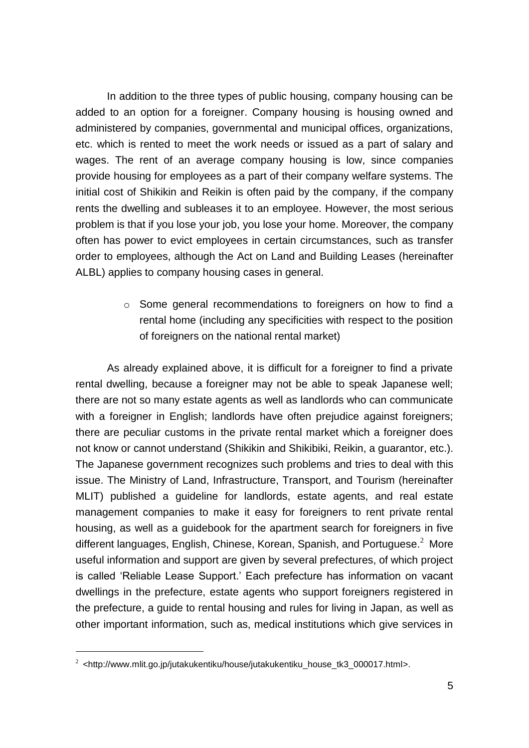In addition to the three types of public housing, company housing can be added to an option for a foreigner. Company housing is housing owned and administered by companies, governmental and municipal offices, organizations, etc. which is rented to meet the work needs or issued as a part of salary and wages. The rent of an average company housing is low, since companies provide housing for employees as a part of their company welfare systems. The initial cost of Shikikin and Reikin is often paid by the company, if the company rents the dwelling and subleases it to an employee. However, the most serious problem is that if you lose your job, you lose your home. Moreover, the company often has power to evict employees in certain circumstances, such as transfer order to employees, although the Act on Land and Building Leases (hereinafter ALBL) applies to company housing cases in general.

> o Some general recommendations to foreigners on how to find a rental home (including any specificities with respect to the position of foreigners on the national rental market)

As already explained above, it is difficult for a foreigner to find a private rental dwelling, because a foreigner may not be able to speak Japanese well: there are not so many estate agents as well as landlords who can communicate with a foreigner in English; landlords have often prejudice against foreigners; there are peculiar customs in the private rental market which a foreigner does not know or cannot understand (Shikikin and Shikibiki, Reikin, a guarantor, etc.). The Japanese government recognizes such problems and tries to deal with this issue. The Ministry of Land, Infrastructure, Transport, and Tourism (hereinafter MLIT) published a guideline for landlords, estate agents, and real estate management companies to make it easy for foreigners to rent private rental housing, as well as a guidebook for the apartment search for foreigners in five different languages, English, Chinese, Korean, Spanish, and Portuguese. $2$  More useful information and support are given by several prefectures, of which project is called 'Reliable Lease Support.' Each prefecture has information on vacant dwellings in the prefecture, estate agents who support foreigners registered in the prefecture, a guide to rental housing and rules for living in Japan, as well as other important information, such as, medical institutions which give services in

<sup>&</sup>lt;sup>2</sup> <http://www.mlit.go.jp/jutakukentiku/house/jutakukentiku\_house\_tk3\_000017.html>.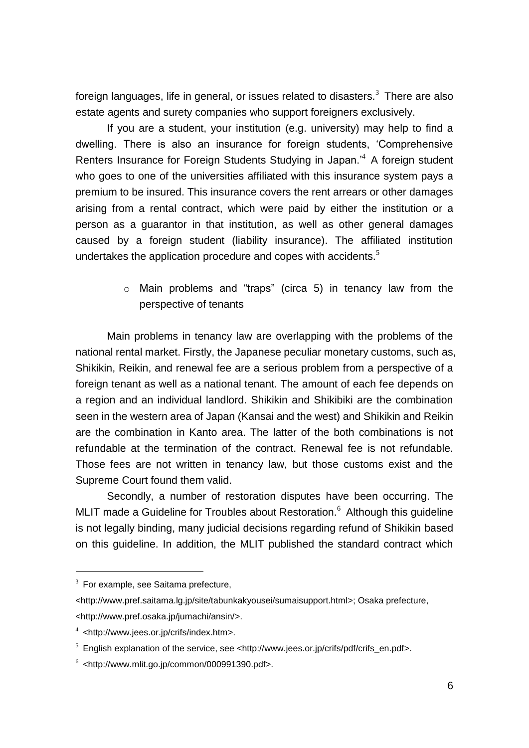foreign languages, life in general, or issues related to disasters.<sup>3</sup> There are also estate agents and surety companies who support foreigners exclusively.

If you are a student, your institution (e.g. university) may help to find a dwelling. There is also an insurance for foreign students, 'Comprehensive Renters Insurance for Foreign Students Studying in Japan.<sup>4</sup> A foreign student who goes to one of the universities affiliated with this insurance system pays a premium to be insured. This insurance covers the rent arrears or other damages arising from a rental contract, which were paid by either the institution or a person as a guarantor in that institution, as well as other general damages caused by a foreign student (liability insurance). The affiliated institution undertakes the application procedure and copes with accidents. $<sup>5</sup>$ </sup>

> o Main problems and "traps" (circa 5) in tenancy law from the perspective of tenants

Main problems in tenancy law are overlapping with the problems of the national rental market. Firstly, the Japanese peculiar monetary customs, such as, Shikikin, Reikin, and renewal fee are a serious problem from a perspective of a foreign tenant as well as a national tenant. The amount of each fee depends on a region and an individual landlord. Shikikin and Shikibiki are the combination seen in the western area of Japan (Kansai and the west) and Shikikin and Reikin are the combination in Kanto area. The latter of the both combinations is not refundable at the termination of the contract. Renewal fee is not refundable. Those fees are not written in tenancy law, but those customs exist and the Supreme Court found them valid.

Secondly, a number of restoration disputes have been occurring. The MLIT made a Guideline for Troubles about Restoration.<sup>6</sup> Although this quideline is not legally binding, many judicial decisions regarding refund of Shikikin based on this guideline. In addition, the MLIT published the standard contract which

 $3$  For example, see Saitama prefecture,

<sup>&</sup>lt;http://www.pref.saitama.lg.jp/site/tabunkakyousei/sumaisupport.html>; Osaka prefecture, <http://www.pref.osaka.jp/jumachi/ansin/>.

<sup>4</sup> <http://www.jees.or.jp/crifs/index.htm>.

 $5$  English explanation of the service, see <http://www.jees.or.jp/crifs/pdf/crifs\_en.pdf>.

 $6$  <http://www.mlit.go.jp/common/000991390.pdf>.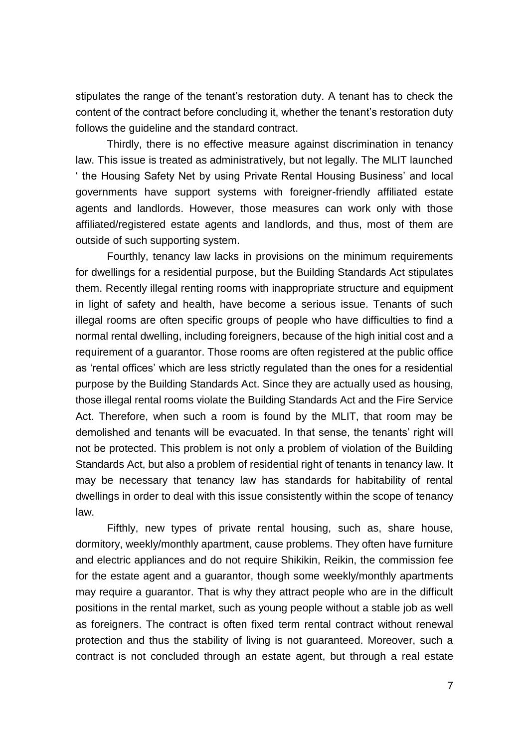stipulates the range of the tenant's restoration duty. A tenant has to check the content of the contract before concluding it, whether the tenant's restoration duty follows the guideline and the standard contract.

Thirdly, there is no effective measure against discrimination in tenancy law. This issue is treated as administratively, but not legally. The MLIT launched ' the Housing Safety Net by using Private Rental Housing Business' and local governments have support systems with foreigner-friendly affiliated estate agents and landlords. However, those measures can work only with those affiliated/registered estate agents and landlords, and thus, most of them are outside of such supporting system.

Fourthly, tenancy law lacks in provisions on the minimum requirements for dwellings for a residential purpose, but the Building Standards Act stipulates them. Recently illegal renting rooms with inappropriate structure and equipment in light of safety and health, have become a serious issue. Tenants of such illegal rooms are often specific groups of people who have difficulties to find a normal rental dwelling, including foreigners, because of the high initial cost and a requirement of a guarantor. Those rooms are often registered at the public office as 'rental offices' which are less strictly regulated than the ones for a residential purpose by the Building Standards Act. Since they are actually used as housing, those illegal rental rooms violate the Building Standards Act and the Fire Service Act. Therefore, when such a room is found by the MLIT, that room may be demolished and tenants will be evacuated. In that sense, the tenants' right will not be protected. This problem is not only a problem of violation of the Building Standards Act, but also a problem of residential right of tenants in tenancy law. It may be necessary that tenancy law has standards for habitability of rental dwellings in order to deal with this issue consistently within the scope of tenancy law.

Fifthly, new types of private rental housing, such as, share house, dormitory, weekly/monthly apartment, cause problems. They often have furniture and electric appliances and do not require Shikikin, Reikin, the commission fee for the estate agent and a guarantor, though some weekly/monthly apartments may require a guarantor. That is why they attract people who are in the difficult positions in the rental market, such as young people without a stable job as well as foreigners. The contract is often fixed term rental contract without renewal protection and thus the stability of living is not guaranteed. Moreover, such a contract is not concluded through an estate agent, but through a real estate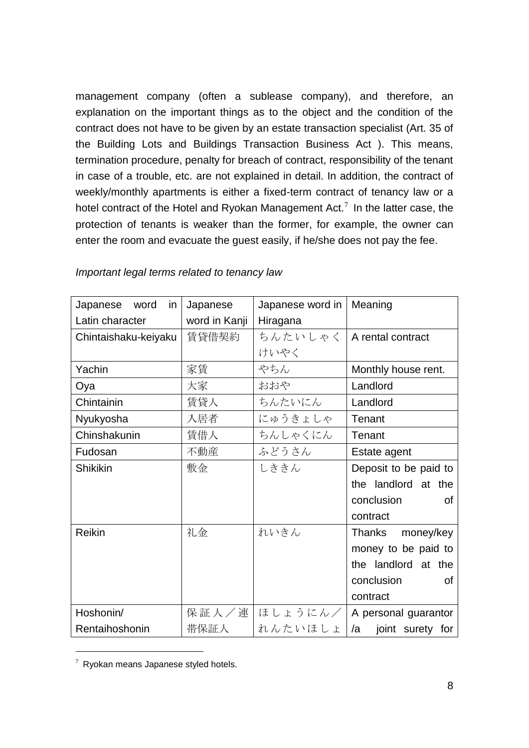management company (often a sublease company), and therefore, an explanation on the important things as to the object and the condition of the contract does not have to be given by an estate transaction specialist (Art. 35 of the Building Lots and Buildings Transaction Business Act ). This means, termination procedure, penalty for breach of contract, responsibility of the tenant in case of a trouble, etc. are not explained in detail. In addition, the contract of weekly/monthly apartments is either a fixed-term contract of tenancy law or a hotel contract of the Hotel and Ryokan Management Act.<sup>7</sup> In the latter case, the protection of tenants is weaker than the former, for example, the owner can enter the room and evacuate the guest easily, if he/she does not pay the fee.

| Japanese word<br>in. | Japanese      | Japanese word in   Meaning |                        |
|----------------------|---------------|----------------------------|------------------------|
| Latin character      | word in Kanji | Hiragana                   |                        |
| Chintaishaku-keiyaku | 賃貸借契約         | ちんたいしゃく                    | A rental contract      |
|                      |               | けいやく                       |                        |
| Yachin               | 家賃            | やちん                        | Monthly house rent.    |
| Oya                  | 大家            | おおや                        | Landlord               |
| Chintainin           | 賃貸人           | ちんたいにん                     | Landlord               |
| Nyukyosha            | 入居者           | にゅうきょしゃ                    | Tenant                 |
| Chinshakunin         | 賃借人           | ちんしゃくにん                    | Tenant                 |
| Fudosan              | 不動産           | ふどうさん                      | Estate agent           |
| <b>Shikikin</b>      | 敷金            | しききん                       | Deposit to be paid to  |
|                      |               |                            | the landlord at the    |
|                      |               |                            | conclusion<br>Ωf       |
|                      |               |                            | contract               |
| <b>Reikin</b>        | 礼金            | れいきん                       | Thanks<br>money/key    |
|                      |               |                            | money to be paid to    |
|                      |               |                            | the landlord at the    |
|                      |               |                            | conclusion<br>Ωf       |
|                      |               |                            | contract               |
| Hoshonin/            | 保証人/連         | ほしょうにん/                    | A personal guarantor   |
| Rentaihoshonin       | 带保証人          | れんたいほしょ                    | /a<br>joint surety for |

#### *Important legal terms related to tenancy law*

 $7$  Ryokan means Japanese styled hotels.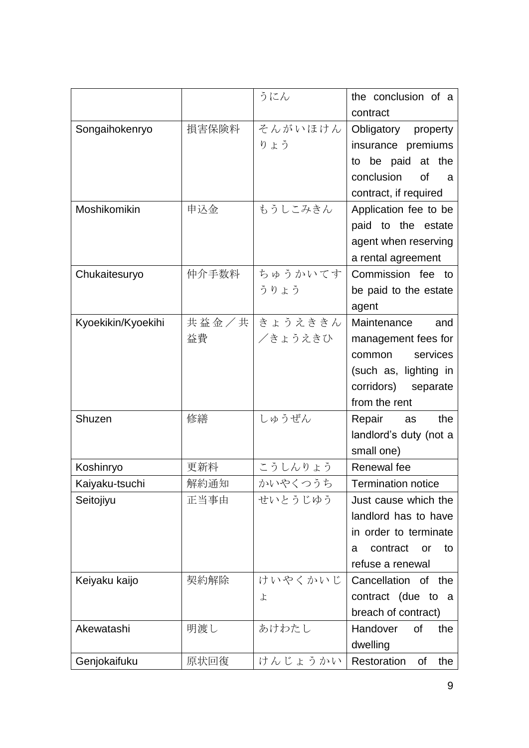|                    |       | うにん            | the conclusion of a          |
|--------------------|-------|----------------|------------------------------|
|                    |       |                | contract                     |
| Songaihokenryo     | 損害保険料 | そんがいほけん        | Obligatory property          |
|                    |       | りょう            | insurance premiums           |
|                    |       |                | to be paid at the            |
|                    |       |                | conclusion<br><b>of</b><br>a |
|                    |       |                | contract, if required        |
| Moshikomikin       | 申込金   | もうしこみきん        | Application fee to be        |
|                    |       |                | paid to the estate           |
|                    |       |                | agent when reserving         |
|                    |       |                | a rental agreement           |
| Chukaitesuryo      | 仲介手数料 | ちゅうかいてす        | Commission fee to            |
|                    |       | うりょう           | be paid to the estate        |
|                    |       |                | agent                        |
| Kyoekikin/Kyoekihi |       | 共益金/共 きょうえききん  | Maintenance<br>and           |
|                    | 益費    | <b>∕きょうえきひ</b> | management fees for          |
|                    |       |                | services<br>common           |
|                    |       |                | (such as, lighting in        |
|                    |       |                | corridors) separate          |
|                    |       |                | from the rent                |
| Shuzen             | 修繕    | しゅうぜん          | Repair<br>the<br>as          |
|                    |       |                | landlord's duty (not a       |
|                    |       |                | small one)                   |
| Koshinryo          | 更新料   | こうしんりょう        | Renewal fee                  |
| Kaiyaku-tsuchi     | 解約通知  | かいやくつうち        | <b>Termination notice</b>    |
| Seitojiyu          | 正当事由  | せいとうじゆう        | Just cause which the         |
|                    |       |                | landlord has to have         |
|                    |       |                | in order to terminate        |
|                    |       |                | contract<br>to<br>or<br>a    |
|                    |       |                | refuse a renewal             |
| Keiyaku kaijo      | 契約解除  | けいやくかいじ        | Cancellation of the          |
|                    |       | よ              | contract (due to a           |
|                    |       |                | breach of contract)          |
| Akewatashi         | 明渡し   | あけわたし          | Handover<br>of<br>the        |
|                    |       |                | dwelling                     |
| Genjokaifuku       | 原状回復  | けんじょうかい        | Restoration<br>the<br>Οf     |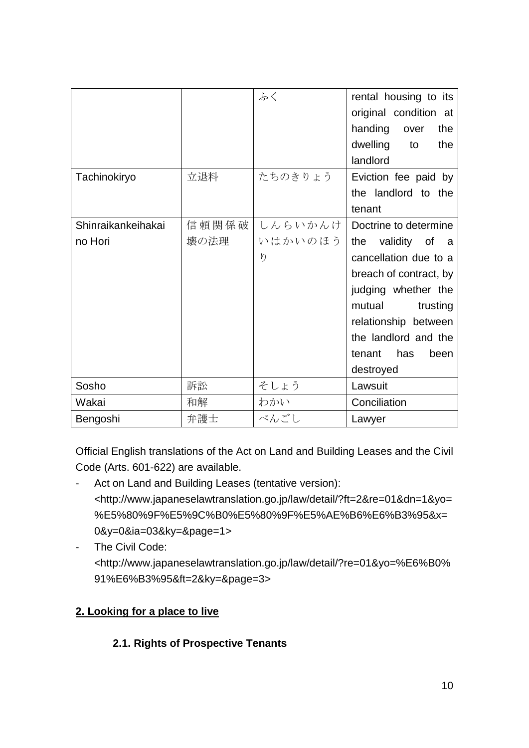|                    |       | ふく      | rental housing to its  |
|--------------------|-------|---------|------------------------|
|                    |       |         | original condition at  |
|                    |       |         | handing<br>over<br>the |
|                    |       |         | dwelling<br>the<br>to  |
|                    |       |         | landlord               |
| Tachinokiryo       | 立退料   | たちのきりょう | Eviction fee paid by   |
|                    |       |         | the landlord to the    |
|                    |       |         | tenant                 |
| Shinraikankeihakai | 信頼関係破 | しんらいかんけ | Doctrine to determine  |
| no Hori            | 壊の法理  | いはかいのほう | the<br>validity of a   |
|                    |       | $\eta$  | cancellation due to a  |
|                    |       |         | breach of contract, by |
|                    |       |         | judging whether the    |
|                    |       |         | mutual<br>trusting     |
|                    |       |         | relationship between   |
|                    |       |         | the landlord and the   |
|                    |       |         | has<br>tenant<br>been  |
|                    |       |         | destroyed              |
| Sosho              | 訴訟    | そしょう    | Lawsuit                |
| Wakai              | 和解    | わかい     | Conciliation           |
| Bengoshi           | 弁護士   | べんごし    | Lawyer                 |

Official English translations of the Act on Land and Building Leases and the Civil Code (Arts. 601-622) are available.

- Act on Land and Building Leases (tentative version): <http://www.japaneselawtranslation.go.jp/law/detail/?ft=2&re=01&dn=1&yo= %E5%80%9F%E5%9C%B0%E5%80%9F%E5%AE%B6%E6%B3%95&x= 0&y=0&ia=03&ky=&page=1>
- The Civil Code: <http://www.japaneselawtranslation.go.jp/law/detail/?re=01&yo=%E6%B0% 91%E6%B3%95&ft=2&ky=&page=3>

# <span id="page-9-0"></span>**2. Looking for a place to live**

# <span id="page-9-1"></span>**2.1. Rights of Prospective Tenants**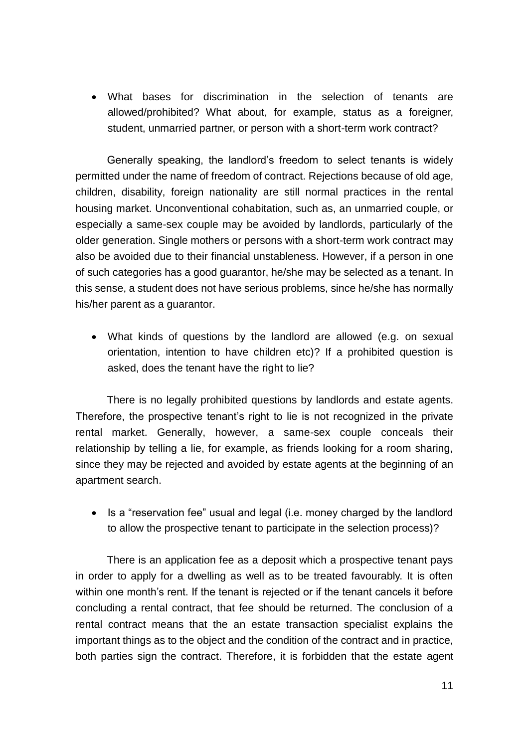What bases for discrimination in the selection of tenants are allowed/prohibited? What about, for example, status as a foreigner, student, unmarried partner, or person with a short-term work contract?

Generally speaking, the landlord's freedom to select tenants is widely permitted under the name of freedom of contract. Rejections because of old age, children, disability, foreign nationality are still normal practices in the rental housing market. Unconventional cohabitation, such as, an unmarried couple, or especially a same-sex couple may be avoided by landlords, particularly of the older generation. Single mothers or persons with a short-term work contract may also be avoided due to their financial unstableness. However, if a person in one of such categories has a good guarantor, he/she may be selected as a tenant. In this sense, a student does not have serious problems, since he/she has normally his/her parent as a guarantor.

 What kinds of questions by the landlord are allowed (e.g. on sexual orientation, intention to have children etc)? If a prohibited question is asked, does the tenant have the right to lie?

There is no legally prohibited questions by landlords and estate agents. Therefore, the prospective tenant's right to lie is not recognized in the private rental market. Generally, however, a same-sex couple conceals their relationship by telling a lie, for example, as friends looking for a room sharing, since they may be rejected and avoided by estate agents at the beginning of an apartment search.

• Is a "reservation fee" usual and legal (i.e. money charged by the landlord to allow the prospective tenant to participate in the selection process)?

There is an application fee as a deposit which a prospective tenant pays in order to apply for a dwelling as well as to be treated favourably. It is often within one month's rent. If the tenant is rejected or if the tenant cancels it before concluding a rental contract, that fee should be returned. The conclusion of a rental contract means that the an estate transaction specialist explains the important things as to the object and the condition of the contract and in practice, both parties sign the contract. Therefore, it is forbidden that the estate agent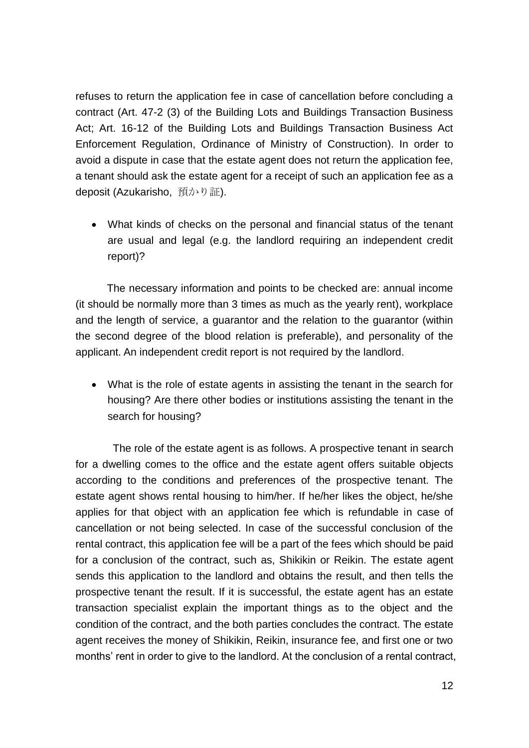refuses to return the application fee in case of cancellation before concluding a contract (Art. 47-2 (3) of the Building Lots and Buildings Transaction Business Act; Art. 16-12 of the Building Lots and Buildings Transaction Business Act Enforcement Regulation, Ordinance of Ministry of Construction). In order to avoid a dispute in case that the estate agent does not return the application fee, a tenant should ask the estate agent for a receipt of such an application fee as a deposit (Azukarisho, 預かり証).

 What kinds of checks on the personal and financial status of the tenant are usual and legal (e.g. the landlord requiring an independent credit report)?

The necessary information and points to be checked are: annual income (it should be normally more than 3 times as much as the yearly rent), workplace and the length of service, a guarantor and the relation to the guarantor (within the second degree of the blood relation is preferable), and personality of the applicant. An independent credit report is not required by the landlord.

 What is the role of estate agents in assisting the tenant in the search for housing? Are there other bodies or institutions assisting the tenant in the search for housing?

The role of the estate agent is as follows. A prospective tenant in search for a dwelling comes to the office and the estate agent offers suitable objects according to the conditions and preferences of the prospective tenant. The estate agent shows rental housing to him/her. If he/her likes the object, he/she applies for that object with an application fee which is refundable in case of cancellation or not being selected. In case of the successful conclusion of the rental contract, this application fee will be a part of the fees which should be paid for a conclusion of the contract, such as, Shikikin or Reikin. The estate agent sends this application to the landlord and obtains the result, and then tells the prospective tenant the result. If it is successful, the estate agent has an estate transaction specialist explain the important things as to the object and the condition of the contract, and the both parties concludes the contract. The estate agent receives the money of Shikikin, Reikin, insurance fee, and first one or two months' rent in order to give to the landlord. At the conclusion of a rental contract,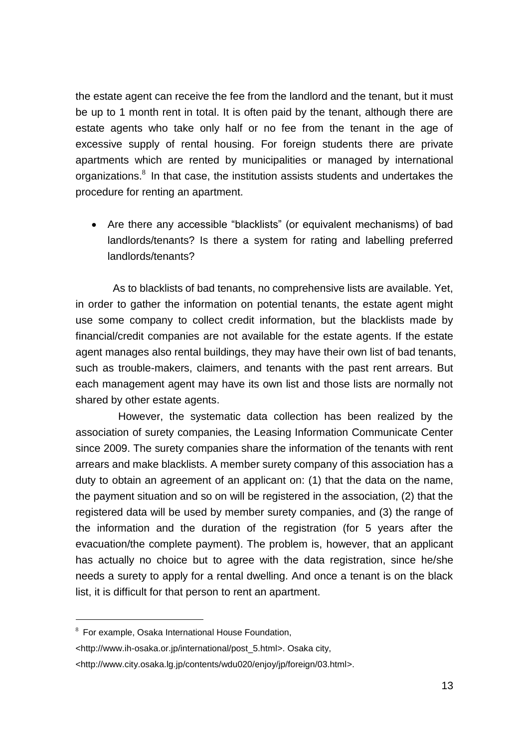the estate agent can receive the fee from the landlord and the tenant, but it must be up to 1 month rent in total. It is often paid by the tenant, although there are estate agents who take only half or no fee from the tenant in the age of excessive supply of rental housing. For foreign students there are private apartments which are rented by municipalities or managed by international organizations. $8$  In that case, the institution assists students and undertakes the procedure for renting an apartment.

 Are there any accessible "blacklists" (or equivalent mechanisms) of bad landlords/tenants? Is there a system for rating and labelling preferred landlords/tenants?

As to blacklists of bad tenants, no comprehensive lists are available. Yet, in order to gather the information on potential tenants, the estate agent might use some company to collect credit information, but the blacklists made by financial/credit companies are not available for the estate agents. If the estate agent manages also rental buildings, they may have their own list of bad tenants, such as trouble-makers, claimers, and tenants with the past rent arrears. But each management agent may have its own list and those lists are normally not shared by other estate agents.

However, the systematic data collection has been realized by the association of surety companies, the Leasing Information Communicate Center since 2009. The surety companies share the information of the tenants with rent arrears and make blacklists. A member surety company of this association has a duty to obtain an agreement of an applicant on: (1) that the data on the name, the payment situation and so on will be registered in the association, (2) that the registered data will be used by member surety companies, and (3) the range of the information and the duration of the registration (for 5 years after the evacuation/the complete payment). The problem is, however, that an applicant has actually no choice but to agree with the data registration, since he/she needs a surety to apply for a rental dwelling. And once a tenant is on the black list, it is difficult for that person to rent an apartment.

<sup>&</sup>lt;sup>8</sup> For example, Osaka International House Foundation,

<sup>&</sup>lt;http://www.ih-osaka.or.jp/international/post\_5.html>. Osaka city,

<sup>&</sup>lt;http://www.city.osaka.lg.jp/contents/wdu020/enjoy/jp/foreign/03.html>.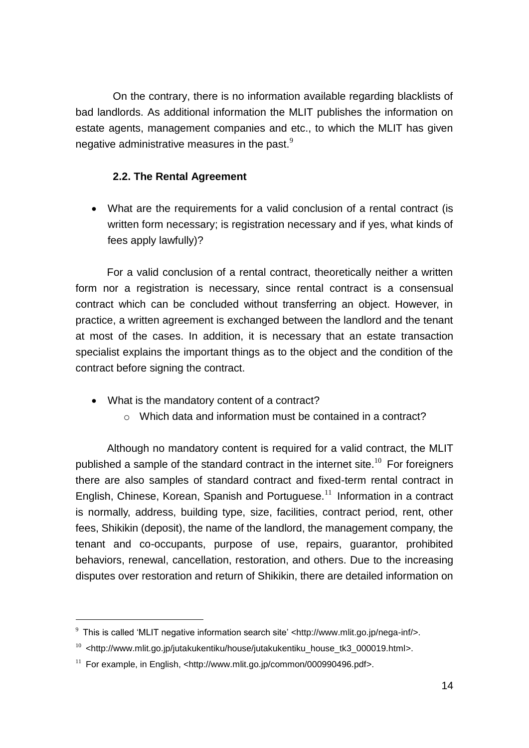On the contrary, there is no information available regarding blacklists of bad landlords. As additional information the MLIT publishes the information on estate agents, management companies and etc., to which the MLIT has given negative administrative measures in the past. $9$ 

### <span id="page-13-0"></span>**2.2. The Rental Agreement**

 What are the requirements for a valid conclusion of a rental contract (is written form necessary; is registration necessary and if yes, what kinds of fees apply lawfully)?

For a valid conclusion of a rental contract, theoretically neither a written form nor a registration is necessary, since rental contract is a consensual contract which can be concluded without transferring an object. However, in practice, a written agreement is exchanged between the landlord and the tenant at most of the cases. In addition, it is necessary that an estate transaction specialist explains the important things as to the object and the condition of the contract before signing the contract.

- What is the mandatory content of a contract?
	- o Which data and information must be contained in a contract?

Although no mandatory content is required for a valid contract, the MLIT published a sample of the standard contract in the internet site.<sup>10</sup> For foreigners there are also samples of standard contract and fixed-term rental contract in English, Chinese, Korean, Spanish and Portuguese.<sup>11</sup> Information in a contract is normally, address, building type, size, facilities, contract period, rent, other fees, Shikikin (deposit), the name of the landlord, the management company, the tenant and co-occupants, purpose of use, repairs, guarantor, prohibited behaviors, renewal, cancellation, restoration, and others. Due to the increasing disputes over restoration and return of Shikikin, there are detailed information on

 $9$  This is called 'MLIT negative information search site' <http://www.mlit.go.jp/nega-inf/>.

 $10$  <http://www.mlit.go.jp/jutakukentiku/house/jutakukentiku house tk3 000019.html>.

 $11$  For example, in English, <http://www.mlit.go.jp/common/000990496.pdf>.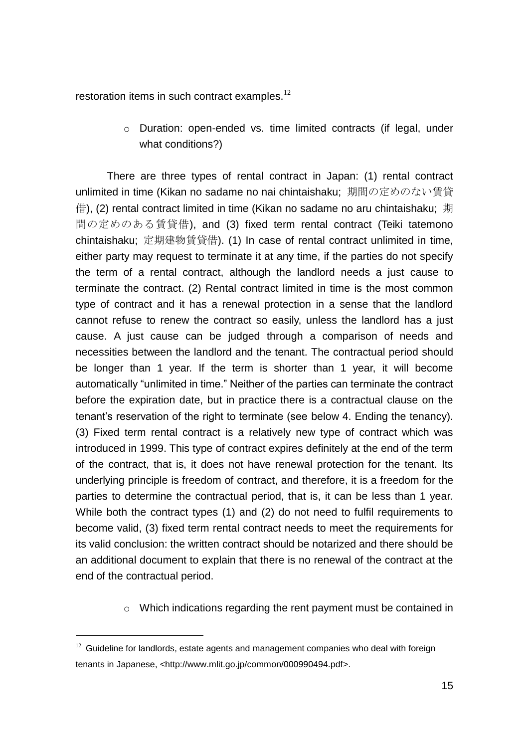restoration items in such contract examples. $^{12}$ 

o Duration: open-ended vs. time limited contracts (if legal, under what conditions?)

There are three types of rental contract in Japan: (1) rental contract unlimited in time (Kikan no sadame no nai chintaishaku; 期間の定めのない賃貸 借), (2) rental contract limited in time (Kikan no sadame no aru chintaishaku; 期 間の定めのある賃貸借), and (3) fixed term rental contract (Teiki tatemono chintaishaku; 定期建物賃貸借). (1) In case of rental contract unlimited in time, either party may request to terminate it at any time, if the parties do not specify the term of a rental contract, although the landlord needs a just cause to terminate the contract. (2) Rental contract limited in time is the most common type of contract and it has a renewal protection in a sense that the landlord cannot refuse to renew the contract so easily, unless the landlord has a just cause. A just cause can be judged through a comparison of needs and necessities between the landlord and the tenant. The contractual period should be longer than 1 year. If the term is shorter than 1 year, it will become automatically "unlimited in time." Neither of the parties can terminate the contract before the expiration date, but in practice there is a contractual clause on the tenant's reservation of the right to terminate (see below 4. Ending the tenancy). (3) Fixed term rental contract is a relatively new type of contract which was introduced in 1999. This type of contract expires definitely at the end of the term of the contract, that is, it does not have renewal protection for the tenant. Its underlying principle is freedom of contract, and therefore, it is a freedom for the parties to determine the contractual period, that is, it can be less than 1 year. While both the contract types (1) and (2) do not need to fulfil requirements to become valid, (3) fixed term rental contract needs to meet the requirements for its valid conclusion: the written contract should be notarized and there should be an additional document to explain that there is no renewal of the contract at the end of the contractual period.

o Which indications regarding the rent payment must be contained in

 $12$  Guideline for landlords, estate agents and management companies who deal with foreign tenants in Japanese, <http://www.mlit.go.jp/common/000990494.pdf>.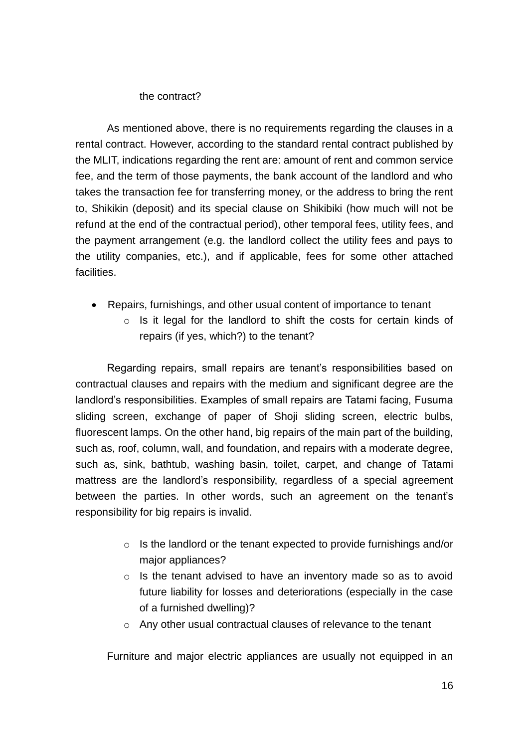#### the contract?

As mentioned above, there is no requirements regarding the clauses in a rental contract. However, according to the standard rental contract published by the MLIT, indications regarding the rent are: amount of rent and common service fee, and the term of those payments, the bank account of the landlord and who takes the transaction fee for transferring money, or the address to bring the rent to, Shikikin (deposit) and its special clause on Shikibiki (how much will not be refund at the end of the contractual period), other temporal fees, utility fees, and the payment arrangement (e.g. the landlord collect the utility fees and pays to the utility companies, etc.), and if applicable, fees for some other attached facilities.

- Repairs, furnishings, and other usual content of importance to tenant
	- o Is it legal for the landlord to shift the costs for certain kinds of repairs (if yes, which?) to the tenant?

Regarding repairs, small repairs are tenant's responsibilities based on contractual clauses and repairs with the medium and significant degree are the landlord's responsibilities. Examples of small repairs are Tatami facing, Fusuma sliding screen, exchange of paper of Shoji sliding screen, electric bulbs, fluorescent lamps. On the other hand, big repairs of the main part of the building, such as, roof, column, wall, and foundation, and repairs with a moderate degree, such as, sink, bathtub, washing basin, toilet, carpet, and change of Tatami mattress are the landlord's responsibility, regardless of a special agreement between the parties. In other words, such an agreement on the tenant's responsibility for big repairs is invalid.

- o Is the landlord or the tenant expected to provide furnishings and/or major appliances?
- o Is the tenant advised to have an inventory made so as to avoid future liability for losses and deteriorations (especially in the case of a furnished dwelling)?
- o Any other usual contractual clauses of relevance to the tenant

Furniture and major electric appliances are usually not equipped in an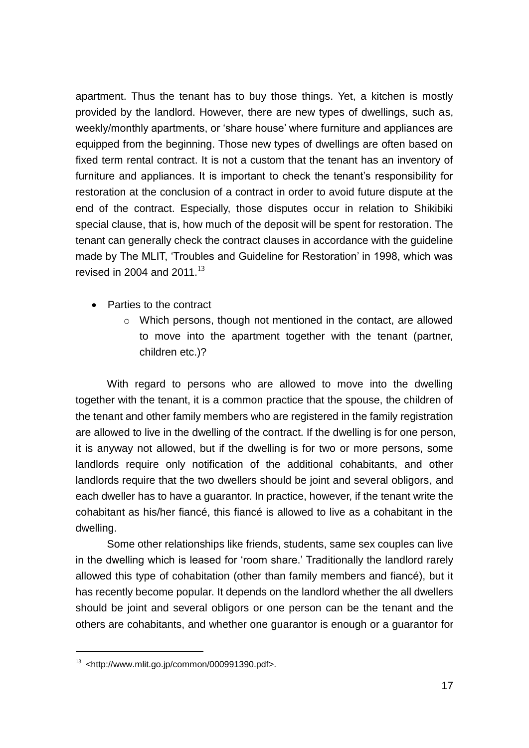apartment. Thus the tenant has to buy those things. Yet, a kitchen is mostly provided by the landlord. However, there are new types of dwellings, such as, weekly/monthly apartments, or 'share house' where furniture and appliances are equipped from the beginning. Those new types of dwellings are often based on fixed term rental contract. It is not a custom that the tenant has an inventory of furniture and appliances. It is important to check the tenant's responsibility for restoration at the conclusion of a contract in order to avoid future dispute at the end of the contract. Especially, those disputes occur in relation to Shikibiki special clause, that is, how much of the deposit will be spent for restoration. The tenant can generally check the contract clauses in accordance with the guideline made by The MLIT, 'Troubles and Guideline for Restoration' in 1998, which was revised in 2004 and 2011. $13$ 

- Parties to the contract
	- o Which persons, though not mentioned in the contact, are allowed to move into the apartment together with the tenant (partner, children etc.)?

With regard to persons who are allowed to move into the dwelling together with the tenant, it is a common practice that the spouse, the children of the tenant and other family members who are registered in the family registration are allowed to live in the dwelling of the contract. If the dwelling is for one person, it is anyway not allowed, but if the dwelling is for two or more persons, some landlords require only notification of the additional cohabitants, and other landlords require that the two dwellers should be joint and several obligors, and each dweller has to have a guarantor. In practice, however, if the tenant write the cohabitant as his/her fiancé, this fiancé is allowed to live as a cohabitant in the dwelling.

Some other relationships like friends, students, same sex couples can live in the dwelling which is leased for 'room share.' Traditionally the landlord rarely allowed this type of cohabitation (other than family members and fiancé), but it has recently become popular. It depends on the landlord whether the all dwellers should be joint and several obligors or one person can be the tenant and the others are cohabitants, and whether one guarantor is enough or a guarantor for

 $13$  <http://www.mlit.go.jp/common/000991390.pdf>.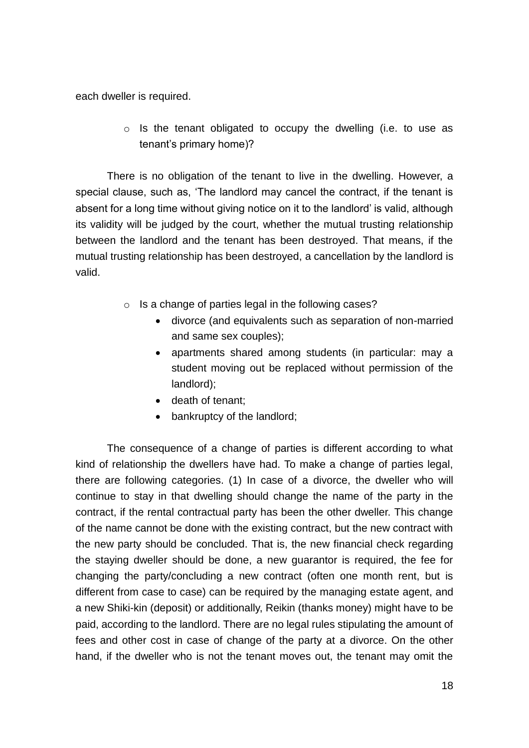each dweller is required.

o Is the tenant obligated to occupy the dwelling (i.e. to use as tenant's primary home)?

There is no obligation of the tenant to live in the dwelling. However, a special clause, such as, 'The landlord may cancel the contract, if the tenant is absent for a long time without giving notice on it to the landlord' is valid, although its validity will be judged by the court, whether the mutual trusting relationship between the landlord and the tenant has been destroyed. That means, if the mutual trusting relationship has been destroyed, a cancellation by the landlord is valid.

- o Is a change of parties legal in the following cases?
	- divorce (and equivalents such as separation of non-married and same sex couples);
	- apartments shared among students (in particular: may a student moving out be replaced without permission of the landlord);
	- death of tenant;
	- bankruptcy of the landlord;

 The consequence of a change of parties is different according to what kind of relationship the dwellers have had. To make a change of parties legal, there are following categories. (1) In case of a divorce, the dweller who will continue to stay in that dwelling should change the name of the party in the contract, if the rental contractual party has been the other dweller. This change of the name cannot be done with the existing contract, but the new contract with the new party should be concluded. That is, the new financial check regarding the staying dweller should be done, a new guarantor is required, the fee for changing the party/concluding a new contract (often one month rent, but is different from case to case) can be required by the managing estate agent, and a new Shiki-kin (deposit) or additionally, Reikin (thanks money) might have to be paid, according to the landlord. There are no legal rules stipulating the amount of fees and other cost in case of change of the party at a divorce. On the other hand, if the dweller who is not the tenant moves out, the tenant may omit the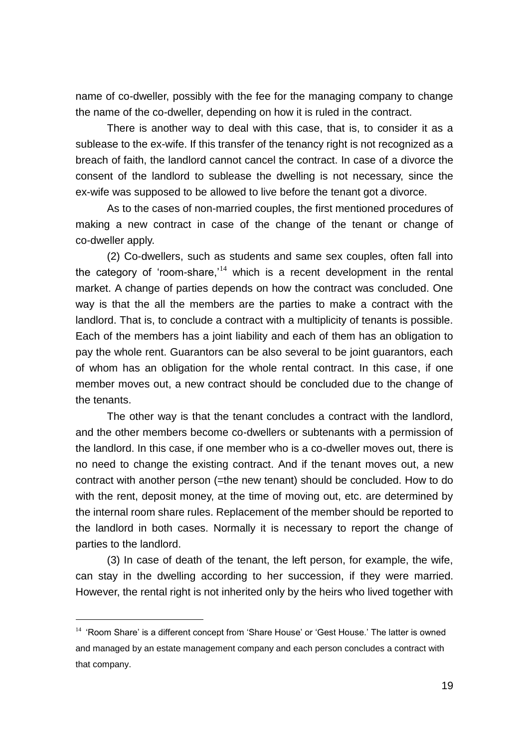name of co-dweller, possibly with the fee for the managing company to change the name of the co-dweller, depending on how it is ruled in the contract.

There is another way to deal with this case, that is, to consider it as a sublease to the ex-wife. If this transfer of the tenancy right is not recognized as a breach of faith, the landlord cannot cancel the contract. In case of a divorce the consent of the landlord to sublease the dwelling is not necessary, since the ex-wife was supposed to be allowed to live before the tenant got a divorce.

As to the cases of non-married couples, the first mentioned procedures of making a new contract in case of the change of the tenant or change of co-dweller apply.

(2) Co-dwellers, such as students and same sex couples, often fall into the category of 'room-share, $14$  which is a recent development in the rental market. A change of parties depends on how the contract was concluded. One way is that the all the members are the parties to make a contract with the landlord. That is, to conclude a contract with a multiplicity of tenants is possible. Each of the members has a joint liability and each of them has an obligation to pay the whole rent. Guarantors can be also several to be joint guarantors, each of whom has an obligation for the whole rental contract. In this case, if one member moves out, a new contract should be concluded due to the change of the tenants.

The other way is that the tenant concludes a contract with the landlord, and the other members become co-dwellers or subtenants with a permission of the landlord. In this case, if one member who is a co-dweller moves out, there is no need to change the existing contract. And if the tenant moves out, a new contract with another person (=the new tenant) should be concluded. How to do with the rent, deposit money, at the time of moving out, etc. are determined by the internal room share rules. Replacement of the member should be reported to the landlord in both cases. Normally it is necessary to report the change of parties to the landlord.

(3) In case of death of the tenant, the left person, for example, the wife, can stay in the dwelling according to her succession, if they were married. However, the rental right is not inherited only by the heirs who lived together with

<sup>&</sup>lt;sup>14</sup> 'Room Share' is a different concept from 'Share House' or 'Gest House.' The latter is owned and managed by an estate management company and each person concludes a contract with that company.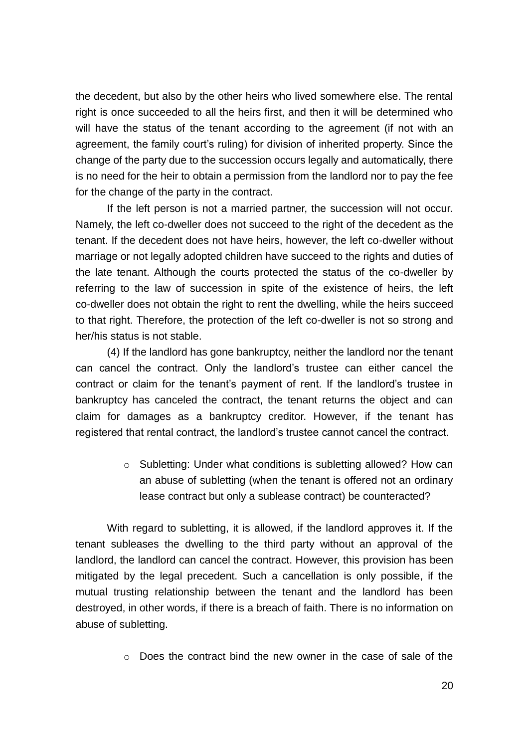the decedent, but also by the other heirs who lived somewhere else. The rental right is once succeeded to all the heirs first, and then it will be determined who will have the status of the tenant according to the agreement (if not with an agreement, the family court's ruling) for division of inherited property. Since the change of the party due to the succession occurs legally and automatically, there is no need for the heir to obtain a permission from the landlord nor to pay the fee for the change of the party in the contract.

If the left person is not a married partner, the succession will not occur. Namely, the left co-dweller does not succeed to the right of the decedent as the tenant. If the decedent does not have heirs, however, the left co-dweller without marriage or not legally adopted children have succeed to the rights and duties of the late tenant. Although the courts protected the status of the co-dweller by referring to the law of succession in spite of the existence of heirs, the left co-dweller does not obtain the right to rent the dwelling, while the heirs succeed to that right. Therefore, the protection of the left co-dweller is not so strong and her/his status is not stable.

(4) If the landlord has gone bankruptcy, neither the landlord nor the tenant can cancel the contract. Only the landlord's trustee can either cancel the contract or claim for the tenant's payment of rent. If the landlord's trustee in bankruptcy has canceled the contract, the tenant returns the object and can claim for damages as a bankruptcy creditor. However, if the tenant has registered that rental contract, the landlord's trustee cannot cancel the contract.

> o Subletting: Under what conditions is subletting allowed? How can an abuse of subletting (when the tenant is offered not an ordinary lease contract but only a sublease contract) be counteracted?

With regard to subletting, it is allowed, if the landlord approves it. If the tenant subleases the dwelling to the third party without an approval of the landlord, the landlord can cancel the contract. However, this provision has been mitigated by the legal precedent. Such a cancellation is only possible, if the mutual trusting relationship between the tenant and the landlord has been destroyed, in other words, if there is a breach of faith. There is no information on abuse of subletting.

o Does the contract bind the new owner in the case of sale of the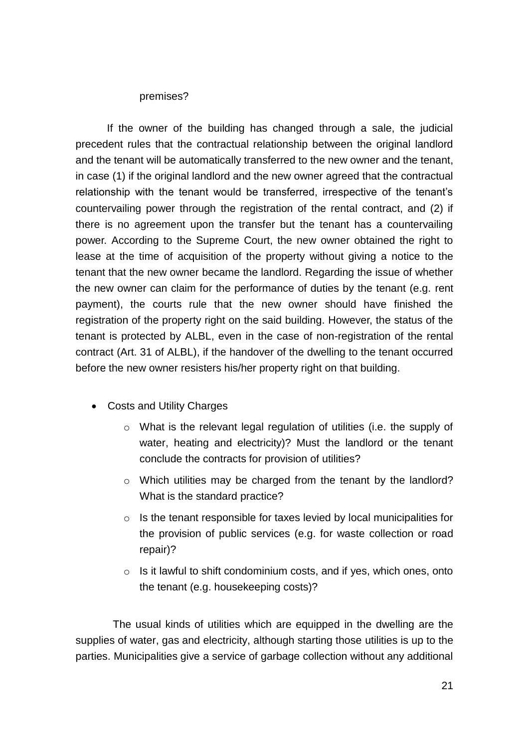#### premises?

If the owner of the building has changed through a sale, the judicial precedent rules that the contractual relationship between the original landlord and the tenant will be automatically transferred to the new owner and the tenant, in case (1) if the original landlord and the new owner agreed that the contractual relationship with the tenant would be transferred, irrespective of the tenant's countervailing power through the registration of the rental contract, and (2) if there is no agreement upon the transfer but the tenant has a countervailing power. According to the Supreme Court, the new owner obtained the right to lease at the time of acquisition of the property without giving a notice to the tenant that the new owner became the landlord. Regarding the issue of whether the new owner can claim for the performance of duties by the tenant (e.g. rent payment), the courts rule that the new owner should have finished the registration of the property right on the said building. However, the status of the tenant is protected by ALBL, even in the case of non-registration of the rental contract (Art. 31 of ALBL), if the handover of the dwelling to the tenant occurred before the new owner resisters his/her property right on that building.

- Costs and Utility Charges
	- o What is the relevant legal regulation of utilities (i.e. the supply of water, heating and electricity)? Must the landlord or the tenant conclude the contracts for provision of utilities?
	- o Which utilities may be charged from the tenant by the landlord? What is the standard practice?
	- o Is the tenant responsible for taxes levied by local municipalities for the provision of public services (e.g. for waste collection or road repair)?
	- $\circ$  Is it lawful to shift condominium costs, and if yes, which ones, onto the tenant (e.g. housekeeping costs)?

The usual kinds of utilities which are equipped in the dwelling are the supplies of water, gas and electricity, although starting those utilities is up to the parties. Municipalities give a service of garbage collection without any additional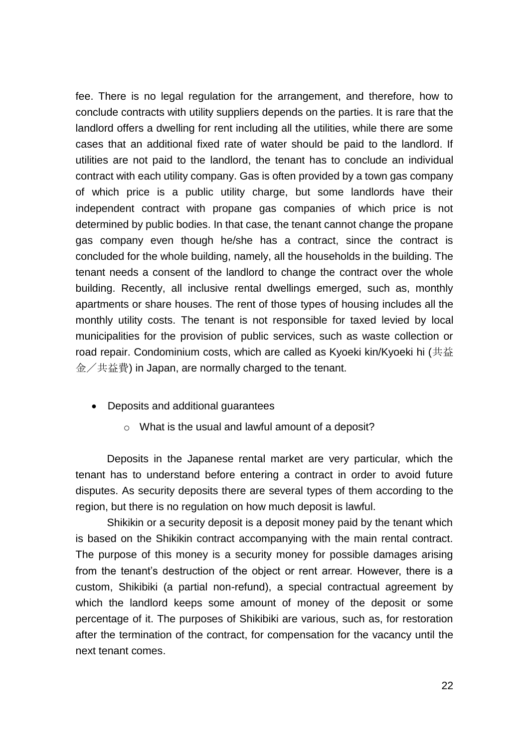fee. There is no legal regulation for the arrangement, and therefore, how to conclude contracts with utility suppliers depends on the parties. It is rare that the landlord offers a dwelling for rent including all the utilities, while there are some cases that an additional fixed rate of water should be paid to the landlord. If utilities are not paid to the landlord, the tenant has to conclude an individual contract with each utility company. Gas is often provided by a town gas company of which price is a public utility charge, but some landlords have their independent contract with propane gas companies of which price is not determined by public bodies. In that case, the tenant cannot change the propane gas company even though he/she has a contract, since the contract is concluded for the whole building, namely, all the households in the building. The tenant needs a consent of the landlord to change the contract over the whole building. Recently, all inclusive rental dwellings emerged, such as, monthly apartments or share houses. The rent of those types of housing includes all the monthly utility costs. The tenant is not responsible for taxed levied by local municipalities for the provision of public services, such as waste collection or road repair. Condominium costs, which are called as Kyoeki kin/Kyoeki hi (共益 金/共益費) in Japan, are normally charged to the tenant.

- Deposits and additional guarantees
	- o What is the usual and lawful amount of a deposit?

Deposits in the Japanese rental market are very particular, which the tenant has to understand before entering a contract in order to avoid future disputes. As security deposits there are several types of them according to the region, but there is no regulation on how much deposit is lawful.

Shikikin or a security deposit is a deposit money paid by the tenant which is based on the Shikikin contract accompanying with the main rental contract. The purpose of this money is a security money for possible damages arising from the tenant's destruction of the object or rent arrear. However, there is a custom, Shikibiki (a partial non-refund), a special contractual agreement by which the landlord keeps some amount of money of the deposit or some percentage of it. The purposes of Shikibiki are various, such as, for restoration after the termination of the contract, for compensation for the vacancy until the next tenant comes.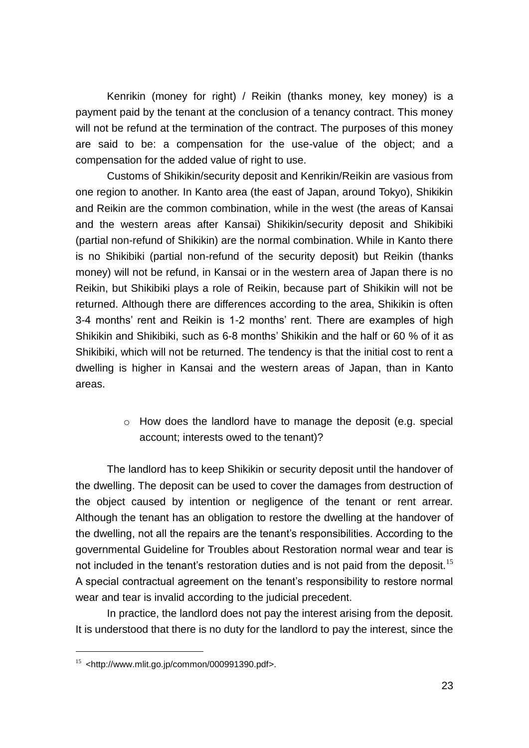Kenrikin (money for right) / Reikin (thanks money, key money) is a payment paid by the tenant at the conclusion of a tenancy contract. This money will not be refund at the termination of the contract. The purposes of this money are said to be: a compensation for the use-value of the object; and a compensation for the added value of right to use.

Customs of Shikikin/security deposit and Kenrikin/Reikin are vasious from one region to another. In Kanto area (the east of Japan, around Tokyo), Shikikin and Reikin are the common combination, while in the west (the areas of Kansai and the western areas after Kansai) Shikikin/security deposit and Shikibiki (partial non-refund of Shikikin) are the normal combination. While in Kanto there is no Shikibiki (partial non-refund of the security deposit) but Reikin (thanks money) will not be refund, in Kansai or in the western area of Japan there is no Reikin, but Shikibiki plays a role of Reikin, because part of Shikikin will not be returned. Although there are differences according to the area, Shikikin is often 3-4 months' rent and Reikin is 1-2 months' rent. There are examples of high Shikikin and Shikibiki, such as 6-8 months' Shikikin and the half or 60 % of it as Shikibiki, which will not be returned. The tendency is that the initial cost to rent a dwelling is higher in Kansai and the western areas of Japan, than in Kanto areas.

> o How does the landlord have to manage the deposit (e.g. special account; interests owed to the tenant)?

The landlord has to keep Shikikin or security deposit until the handover of the dwelling. The deposit can be used to cover the damages from destruction of the object caused by intention or negligence of the tenant or rent arrear. Although the tenant has an obligation to restore the dwelling at the handover of the dwelling, not all the repairs are the tenant's responsibilities. According to the governmental Guideline for Troubles about Restoration normal wear and tear is not included in the tenant's restoration duties and is not paid from the deposit.<sup>15</sup> A special contractual agreement on the tenant's responsibility to restore normal wear and tear is invalid according to the judicial precedent.

In practice, the landlord does not pay the interest arising from the deposit. It is understood that there is no duty for the landlord to pay the interest, since the

 $15$  <http://www.mlit.go.jp/common/000991390.pdf>.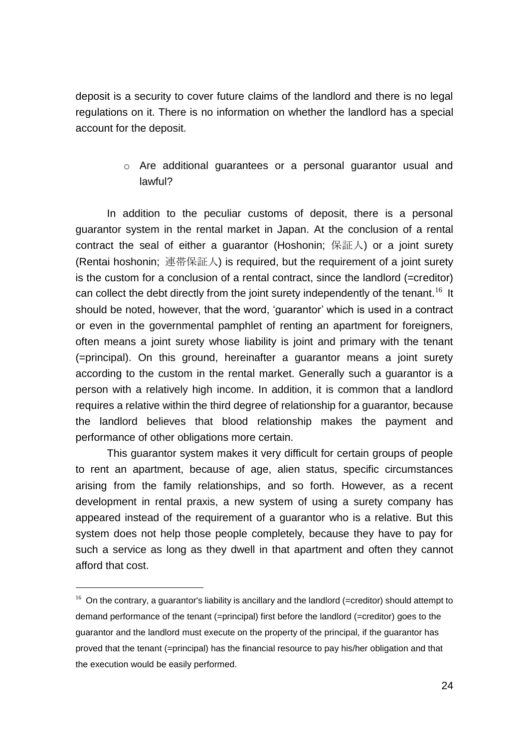deposit is a security to cover future claims of the landlord and there is no legal regulations on it. There is no information on whether the landlord has a special account for the deposit.

# o Are additional guarantees or a personal guarantor usual and lawful?

In addition to the peculiar customs of deposit, there is a personal guarantor system in the rental market in Japan. At the conclusion of a rental contract the seal of either a guarantor (Hoshonin; 保証人) or a joint surety (Rentai hoshonin; 連帯保証人) is required, but the requirement of a joint surety is the custom for a conclusion of a rental contract, since the landlord (=creditor) can collect the debt directly from the joint surety independently of the tenant.<sup>16</sup> It should be noted, however, that the word, 'guarantor' which is used in a contract or even in the governmental pamphlet of renting an apartment for foreigners, often means a joint surety whose liability is joint and primary with the tenant (=principal). On this ground, hereinafter a guarantor means a joint surety according to the custom in the rental market. Generally such a guarantor is a person with a relatively high income. In addition, it is common that a landlord requires a relative within the third degree of relationship for a guarantor, because the landlord believes that blood relationship makes the payment and performance of other obligations more certain.

This guarantor system makes it very difficult for certain groups of people to rent an apartment, because of age, alien status, specific circumstances arising from the family relationships, and so forth. However, as a recent development in rental praxis, a new system of using a surety company has appeared instead of the requirement of a guarantor who is a relative. But this system does not help those people completely, because they have to pay for such a service as long as they dwell in that apartment and often they cannot afford that cost.

 $16$  On the contrary, a guarantor's liability is ancillary and the landlord (=creditor) should attempt to demand performance of the tenant (=principal) first before the landlord (=creditor) goes to the guarantor and the landlord must execute on the property of the principal, if the guarantor has proved that the tenant (=principal) has the financial resource to pay his/her obligation and that the execution would be easily performed.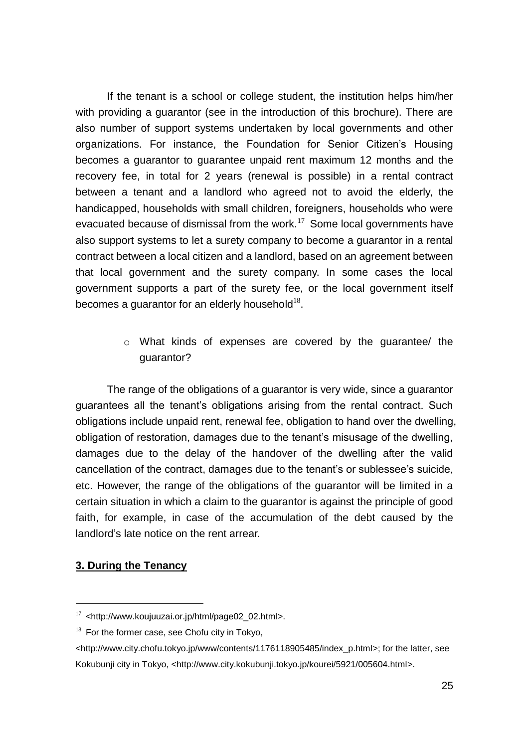If the tenant is a school or college student, the institution helps him/her with providing a guarantor (see in the introduction of this brochure). There are also number of support systems undertaken by local governments and other organizations. For instance, the Foundation for Senior Citizen's Housing becomes a guarantor to guarantee unpaid rent maximum 12 months and the recovery fee, in total for 2 years (renewal is possible) in a rental contract between a tenant and a landlord who agreed not to avoid the elderly, the handicapped, households with small children, foreigners, households who were evacuated because of dismissal from the work. $17$  Some local governments have also support systems to let a surety company to become a guarantor in a rental contract between a local citizen and a landlord, based on an agreement between that local government and the surety company. In some cases the local government supports a part of the surety fee, or the local government itself becomes a guarantor for an elderly household $^{18}$ .

> o What kinds of expenses are covered by the guarantee/ the guarantor?

The range of the obligations of a guarantor is very wide, since a guarantor guarantees all the tenant's obligations arising from the rental contract. Such obligations include unpaid rent, renewal fee, obligation to hand over the dwelling, obligation of restoration, damages due to the tenant's misusage of the dwelling, damages due to the delay of the handover of the dwelling after the valid cancellation of the contract, damages due to the tenant's or sublessee's suicide, etc. However, the range of the obligations of the guarantor will be limited in a certain situation in which a claim to the guarantor is against the principle of good faith, for example, in case of the accumulation of the debt caused by the landlord's late notice on the rent arrear.

#### <span id="page-24-0"></span>**3. During the Tenancy**

 $17$  <http://www.koujuuzai.or.jp/html/page02\_02.html>.

 $18$  For the former case, see Chofu city in Tokyo,

<sup>&</sup>lt;http://www.city.chofu.tokyo.jp/www/contents/1176118905485/index\_p.html>; for the latter, see Kokubunji city in Tokyo, <http://www.city.kokubunji.tokyo.jp/kourei/5921/005604.html>.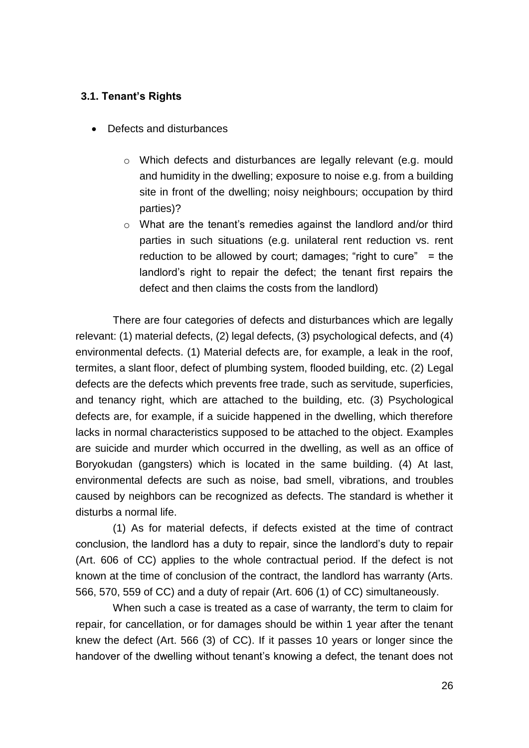#### <span id="page-25-0"></span>**3.1. Tenant's Rights**

- Defects and disturbances
	- o Which defects and disturbances are legally relevant (e.g. mould and humidity in the dwelling; exposure to noise e.g. from a building site in front of the dwelling; noisy neighbours; occupation by third parties)?
	- o What are the tenant's remedies against the landlord and/or third parties in such situations (e.g. unilateral rent reduction vs. rent reduction to be allowed by court; damages; "right to cure"  $=$  the landlord's right to repair the defect; the tenant first repairs the defect and then claims the costs from the landlord)

There are four categories of defects and disturbances which are legally relevant: (1) material defects, (2) legal defects, (3) psychological defects, and (4) environmental defects. (1) Material defects are, for example, a leak in the roof, termites, a slant floor, defect of plumbing system, flooded building, etc. (2) Legal defects are the defects which prevents free trade, such as servitude, superficies, and tenancy right, which are attached to the building, etc. (3) Psychological defects are, for example, if a suicide happened in the dwelling, which therefore lacks in normal characteristics supposed to be attached to the object. Examples are suicide and murder which occurred in the dwelling, as well as an office of Boryokudan (gangsters) which is located in the same building. (4) At last, environmental defects are such as noise, bad smell, vibrations, and troubles caused by neighbors can be recognized as defects. The standard is whether it disturbs a normal life.

(1) As for material defects, if defects existed at the time of contract conclusion, the landlord has a duty to repair, since the landlord's duty to repair (Art. 606 of CC) applies to the whole contractual period. If the defect is not known at the time of conclusion of the contract, the landlord has warranty (Arts. 566, 570, 559 of CC) and a duty of repair (Art. 606 (1) of CC) simultaneously.

When such a case is treated as a case of warranty, the term to claim for repair, for cancellation, or for damages should be within 1 year after the tenant knew the defect (Art. 566 (3) of CC). If it passes 10 years or longer since the handover of the dwelling without tenant's knowing a defect, the tenant does not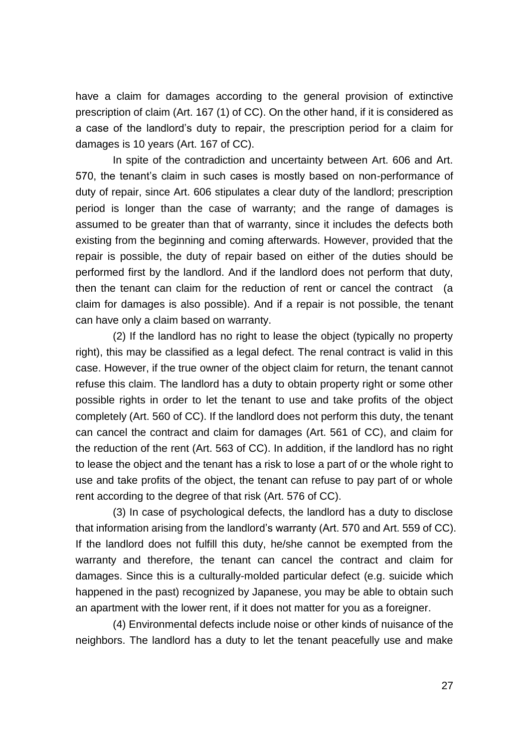have a claim for damages according to the general provision of extinctive prescription of claim (Art. 167 (1) of CC). On the other hand, if it is considered as a case of the landlord's duty to repair, the prescription period for a claim for damages is 10 years (Art. 167 of CC).

In spite of the contradiction and uncertainty between Art. 606 and Art. 570, the tenant's claim in such cases is mostly based on non-performance of duty of repair, since Art. 606 stipulates a clear duty of the landlord; prescription period is longer than the case of warranty; and the range of damages is assumed to be greater than that of warranty, since it includes the defects both existing from the beginning and coming afterwards. However, provided that the repair is possible, the duty of repair based on either of the duties should be performed first by the landlord. And if the landlord does not perform that duty, then the tenant can claim for the reduction of rent or cancel the contract (a claim for damages is also possible). And if a repair is not possible, the tenant can have only a claim based on warranty.

(2) If the landlord has no right to lease the object (typically no property right), this may be classified as a legal defect. The renal contract is valid in this case. However, if the true owner of the object claim for return, the tenant cannot refuse this claim. The landlord has a duty to obtain property right or some other possible rights in order to let the tenant to use and take profits of the object completely (Art. 560 of CC). If the landlord does not perform this duty, the tenant can cancel the contract and claim for damages (Art. 561 of CC), and claim for the reduction of the rent (Art. 563 of CC). In addition, if the landlord has no right to lease the object and the tenant has a risk to lose a part of or the whole right to use and take profits of the object, the tenant can refuse to pay part of or whole rent according to the degree of that risk (Art. 576 of CC).

(3) In case of psychological defects, the landlord has a duty to disclose that information arising from the landlord's warranty (Art. 570 and Art. 559 of CC). If the landlord does not fulfill this duty, he/she cannot be exempted from the warranty and therefore, the tenant can cancel the contract and claim for damages. Since this is a culturally-molded particular defect (e.g. suicide which happened in the past) recognized by Japanese, you may be able to obtain such an apartment with the lower rent, if it does not matter for you as a foreigner.

(4) Environmental defects include noise or other kinds of nuisance of the neighbors. The landlord has a duty to let the tenant peacefully use and make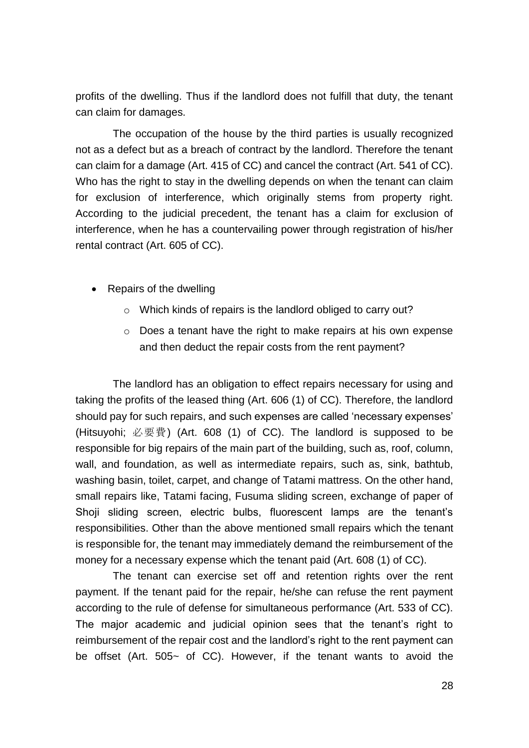profits of the dwelling. Thus if the landlord does not fulfill that duty, the tenant can claim for damages.

The occupation of the house by the third parties is usually recognized not as a defect but as a breach of contract by the landlord. Therefore the tenant can claim for a damage (Art. 415 of CC) and cancel the contract (Art. 541 of CC). Who has the right to stay in the dwelling depends on when the tenant can claim for exclusion of interference, which originally stems from property right. According to the judicial precedent, the tenant has a claim for exclusion of interference, when he has a countervailing power through registration of his/her rental contract (Art. 605 of CC).

- Repairs of the dwelling
	- o Which kinds of repairs is the landlord obliged to carry out?
	- o Does a tenant have the right to make repairs at his own expense and then deduct the repair costs from the rent payment?

The landlord has an obligation to effect repairs necessary for using and taking the profits of the leased thing (Art. 606 (1) of CC). Therefore, the landlord should pay for such repairs, and such expenses are called 'necessary expenses' (Hitsuyohi; 必要費) (Art. 608 (1) of CC). The landlord is supposed to be responsible for big repairs of the main part of the building, such as, roof, column, wall, and foundation, as well as intermediate repairs, such as, sink, bathtub, washing basin, toilet, carpet, and change of Tatami mattress. On the other hand, small repairs like, Tatami facing, Fusuma sliding screen, exchange of paper of Shoji sliding screen, electric bulbs, fluorescent lamps are the tenant's responsibilities. Other than the above mentioned small repairs which the tenant is responsible for, the tenant may immediately demand the reimbursement of the money for a necessary expense which the tenant paid (Art. 608 (1) of CC).

The tenant can exercise set off and retention rights over the rent payment. If the tenant paid for the repair, he/she can refuse the rent payment according to the rule of defense for simultaneous performance (Art. 533 of CC). The major academic and judicial opinion sees that the tenant's right to reimbursement of the repair cost and the landlord's right to the rent payment can be offset (Art. 505~ of CC). However, if the tenant wants to avoid the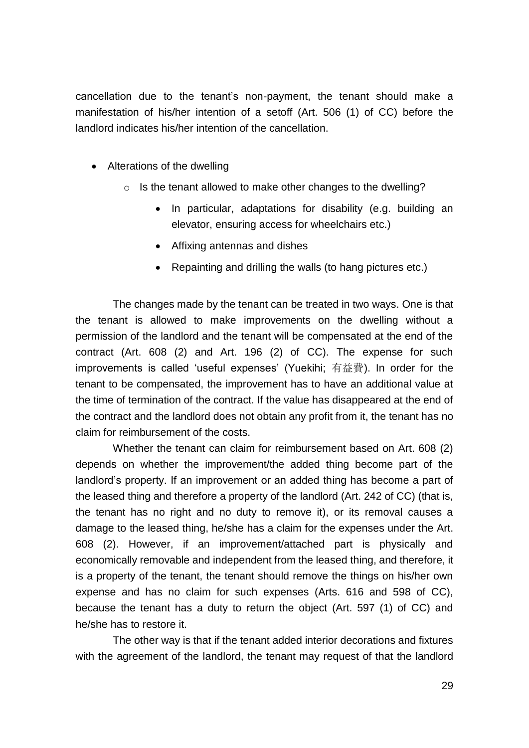cancellation due to the tenant's non-payment, the tenant should make a manifestation of his/her intention of a setoff (Art. 506 (1) of CC) before the landlord indicates his/her intention of the cancellation.

- Alterations of the dwelling
	- o Is the tenant allowed to make other changes to the dwelling?
		- In particular, adaptations for disability (e.g. building an elevator, ensuring access for wheelchairs etc.)
		- Affixing antennas and dishes
		- Repainting and drilling the walls (to hang pictures etc.)

The changes made by the tenant can be treated in two ways. One is that the tenant is allowed to make improvements on the dwelling without a permission of the landlord and the tenant will be compensated at the end of the contract (Art. 608 (2) and Art. 196 (2) of CC). The expense for such improvements is called 'useful expenses' (Yuekihi; 有益費). In order for the tenant to be compensated, the improvement has to have an additional value at the time of termination of the contract. If the value has disappeared at the end of the contract and the landlord does not obtain any profit from it, the tenant has no claim for reimbursement of the costs.

Whether the tenant can claim for reimbursement based on Art. 608 (2) depends on whether the improvement/the added thing become part of the landlord's property. If an improvement or an added thing has become a part of the leased thing and therefore a property of the landlord (Art. 242 of CC) (that is, the tenant has no right and no duty to remove it), or its removal causes a damage to the leased thing, he/she has a claim for the expenses under the Art. 608 (2). However, if an improvement/attached part is physically and economically removable and independent from the leased thing, and therefore, it is a property of the tenant, the tenant should remove the things on his/her own expense and has no claim for such expenses (Arts. 616 and 598 of CC), because the tenant has a duty to return the object (Art. 597 (1) of CC) and he/she has to restore it.

The other way is that if the tenant added interior decorations and fixtures with the agreement of the landlord, the tenant may request of that the landlord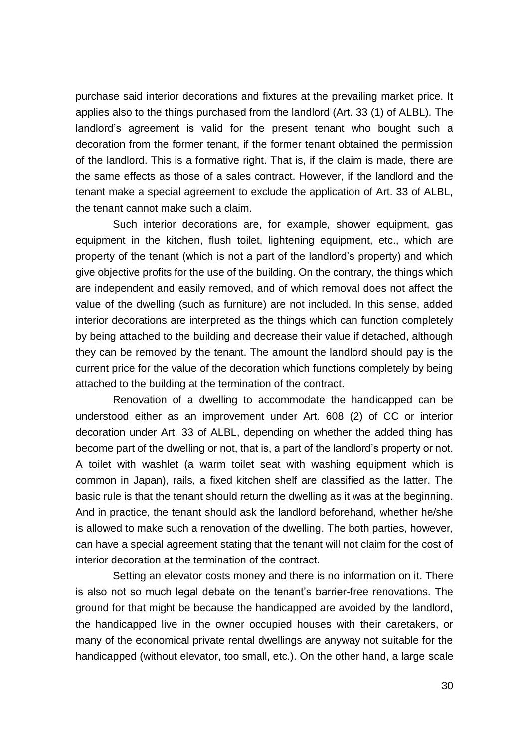purchase said interior decorations and fixtures at the prevailing market price. It applies also to the things purchased from the landlord (Art. 33 (1) of ALBL). The landlord's agreement is valid for the present tenant who bought such a decoration from the former tenant, if the former tenant obtained the permission of the landlord. This is a formative right. That is, if the claim is made, there are the same effects as those of a sales contract. However, if the landlord and the tenant make a special agreement to exclude the application of Art. 33 of ALBL, the tenant cannot make such a claim.

Such interior decorations are, for example, shower equipment, gas equipment in the kitchen, flush toilet, lightening equipment, etc., which are property of the tenant (which is not a part of the landlord's property) and which give objective profits for the use of the building. On the contrary, the things which are independent and easily removed, and of which removal does not affect the value of the dwelling (such as furniture) are not included. In this sense, added interior decorations are interpreted as the things which can function completely by being attached to the building and decrease their value if detached, although they can be removed by the tenant. The amount the landlord should pay is the current price for the value of the decoration which functions completely by being attached to the building at the termination of the contract.

Renovation of a dwelling to accommodate the handicapped can be understood either as an improvement under Art. 608 (2) of CC or interior decoration under Art. 33 of ALBL, depending on whether the added thing has become part of the dwelling or not, that is, a part of the landlord's property or not. A toilet with washlet (a warm toilet seat with washing equipment which is common in Japan), rails, a fixed kitchen shelf are classified as the latter. The basic rule is that the tenant should return the dwelling as it was at the beginning. And in practice, the tenant should ask the landlord beforehand, whether he/she is allowed to make such a renovation of the dwelling. The both parties, however, can have a special agreement stating that the tenant will not claim for the cost of interior decoration at the termination of the contract.

Setting an elevator costs money and there is no information on it. There is also not so much legal debate on the tenant's barrier-free renovations. The ground for that might be because the handicapped are avoided by the landlord, the handicapped live in the owner occupied houses with their caretakers, or many of the economical private rental dwellings are anyway not suitable for the handicapped (without elevator, too small, etc.). On the other hand, a large scale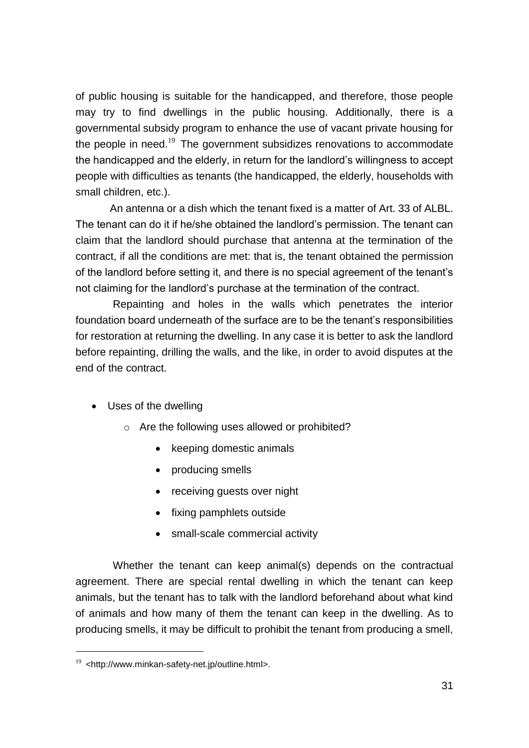of public housing is suitable for the handicapped, and therefore, those people may try to find dwellings in the public housing. Additionally, there is a governmental subsidy program to enhance the use of vacant private housing for the people in need.<sup>19</sup> The government subsidizes renovations to accommodate the handicapped and the elderly, in return for the landlord's willingness to accept people with difficulties as tenants (the handicapped, the elderly, households with small children, etc.).

An antenna or a dish which the tenant fixed is a matter of Art. 33 of ALBL. The tenant can do it if he/she obtained the landlord's permission. The tenant can claim that the landlord should purchase that antenna at the termination of the contract, if all the conditions are met: that is, the tenant obtained the permission of the landlord before setting it, and there is no special agreement of the tenant's not claiming for the landlord's purchase at the termination of the contract.

Repainting and holes in the walls which penetrates the interior foundation board underneath of the surface are to be the tenant's responsibilities for restoration at returning the dwelling. In any case it is better to ask the landlord before repainting, drilling the walls, and the like, in order to avoid disputes at the end of the contract.

- Uses of the dwelling
	- o Are the following uses allowed or prohibited?
		- keeping domestic animals
		- producing smells
		- receiving guests over night
		- fixing pamphlets outside
		- small-scale commercial activity

Whether the tenant can keep animal(s) depends on the contractual agreement. There are special rental dwelling in which the tenant can keep animals, but the tenant has to talk with the landlord beforehand about what kind of animals and how many of them the tenant can keep in the dwelling. As to producing smells, it may be difficult to prohibit the tenant from producing a smell,

 $19$  <http://www.minkan-safety-net.jp/outline.html>.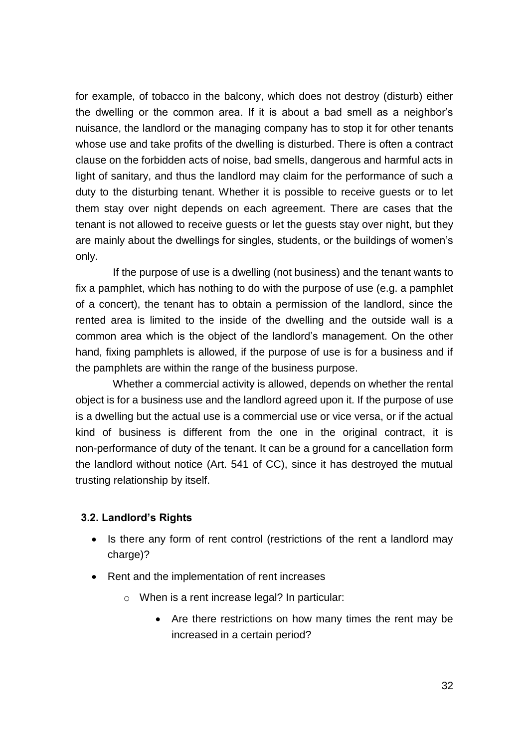for example, of tobacco in the balcony, which does not destroy (disturb) either the dwelling or the common area. If it is about a bad smell as a neighbor's nuisance, the landlord or the managing company has to stop it for other tenants whose use and take profits of the dwelling is disturbed. There is often a contract clause on the forbidden acts of noise, bad smells, dangerous and harmful acts in light of sanitary, and thus the landlord may claim for the performance of such a duty to the disturbing tenant. Whether it is possible to receive guests or to let them stay over night depends on each agreement. There are cases that the tenant is not allowed to receive guests or let the guests stay over night, but they are mainly about the dwellings for singles, students, or the buildings of women's only.

If the purpose of use is a dwelling (not business) and the tenant wants to fix a pamphlet, which has nothing to do with the purpose of use (e.g. a pamphlet of a concert), the tenant has to obtain a permission of the landlord, since the rented area is limited to the inside of the dwelling and the outside wall is a common area which is the object of the landlord's management. On the other hand, fixing pamphlets is allowed, if the purpose of use is for a business and if the pamphlets are within the range of the business purpose.

Whether a commercial activity is allowed, depends on whether the rental object is for a business use and the landlord agreed upon it. If the purpose of use is a dwelling but the actual use is a commercial use or vice versa, or if the actual kind of business is different from the one in the original contract, it is non-performance of duty of the tenant. It can be a ground for a cancellation form the landlord without notice (Art. 541 of CC), since it has destroyed the mutual trusting relationship by itself.

#### <span id="page-31-0"></span>**3.2. Landlord's Rights**

- Is there any form of rent control (restrictions of the rent a landlord may charge)?
- Rent and the implementation of rent increases
	- o When is a rent increase legal? In particular:
		- Are there restrictions on how many times the rent may be increased in a certain period?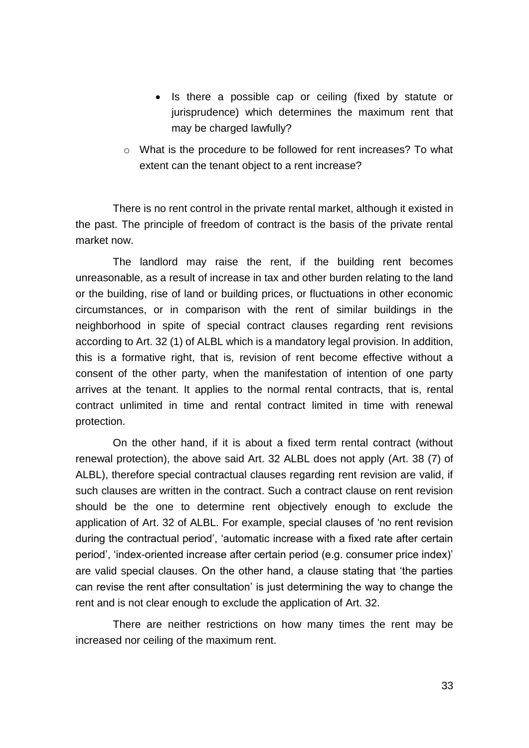- Is there a possible cap or ceiling (fixed by statute or jurisprudence) which determines the maximum rent that may be charged lawfully?
- o What is the procedure to be followed for rent increases? To what extent can the tenant object to a rent increase?

There is no rent control in the private rental market, although it existed in the past. The principle of freedom of contract is the basis of the private rental market now.

The landlord may raise the rent, if the building rent becomes unreasonable, as a result of increase in tax and other burden relating to the land or the building, rise of land or building prices, or fluctuations in other economic circumstances, or in comparison with the rent of similar buildings in the neighborhood in spite of special contract clauses regarding rent revisions according to Art. 32 (1) of ALBL which is a mandatory legal provision. In addition, this is a formative right, that is, revision of rent become effective without a consent of the other party, when the manifestation of intention of one party arrives at the tenant. It applies to the normal rental contracts, that is, rental contract unlimited in time and rental contract limited in time with renewal protection.

On the other hand, if it is about a fixed term rental contract (without renewal protection), the above said Art. 32 ALBL does not apply (Art. 38 (7) of ALBL), therefore special contractual clauses regarding rent revision are valid, if such clauses are written in the contract. Such a contract clause on rent revision should be the one to determine rent objectively enough to exclude the application of Art. 32 of ALBL. For example, special clauses of 'no rent revision during the contractual period', 'automatic increase with a fixed rate after certain period', 'index-oriented increase after certain period (e.g. consumer price index)' are valid special clauses. On the other hand, a clause stating that 'the parties can revise the rent after consultation' is just determining the way to change the rent and is not clear enough to exclude the application of Art. 32.

There are neither restrictions on how many times the rent may be increased nor ceiling of the maximum rent.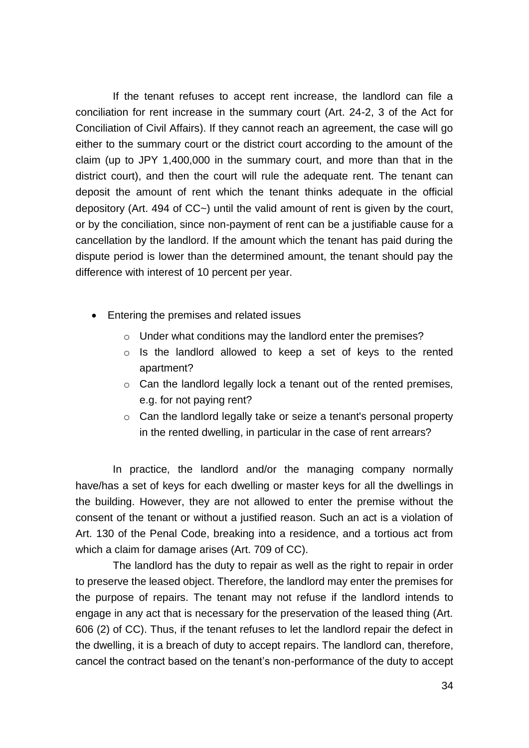If the tenant refuses to accept rent increase, the landlord can file a conciliation for rent increase in the summary court (Art. 24-2, 3 of the Act for Conciliation of Civil Affairs). If they cannot reach an agreement, the case will go either to the summary court or the district court according to the amount of the claim (up to JPY 1,400,000 in the summary court, and more than that in the district court), and then the court will rule the adequate rent. The tenant can deposit the amount of rent which the tenant thinks adequate in the official depository (Art. 494 of CC~) until the valid amount of rent is given by the court, or by the conciliation, since non-payment of rent can be a justifiable cause for a cancellation by the landlord. If the amount which the tenant has paid during the dispute period is lower than the determined amount, the tenant should pay the difference with interest of 10 percent per year.

- Entering the premises and related issues
	- o Under what conditions may the landlord enter the premises?
	- o Is the landlord allowed to keep a set of keys to the rented apartment?
	- o Can the landlord legally lock a tenant out of the rented premises, e.g. for not paying rent?
	- o Can the landlord legally take or seize a tenant's personal property in the rented dwelling, in particular in the case of rent arrears?

In practice, the landlord and/or the managing company normally have/has a set of keys for each dwelling or master keys for all the dwellings in the building. However, they are not allowed to enter the premise without the consent of the tenant or without a justified reason. Such an act is a violation of Art. 130 of the Penal Code, breaking into a residence, and a tortious act from which a claim for damage arises (Art. 709 of CC).

The landlord has the duty to repair as well as the right to repair in order to preserve the leased object. Therefore, the landlord may enter the premises for the purpose of repairs. The tenant may not refuse if the landlord intends to engage in any act that is necessary for the preservation of the leased thing (Art. 606 (2) of CC). Thus, if the tenant refuses to let the landlord repair the defect in the dwelling, it is a breach of duty to accept repairs. The landlord can, therefore, cancel the contract based on the tenant's non-performance of the duty to accept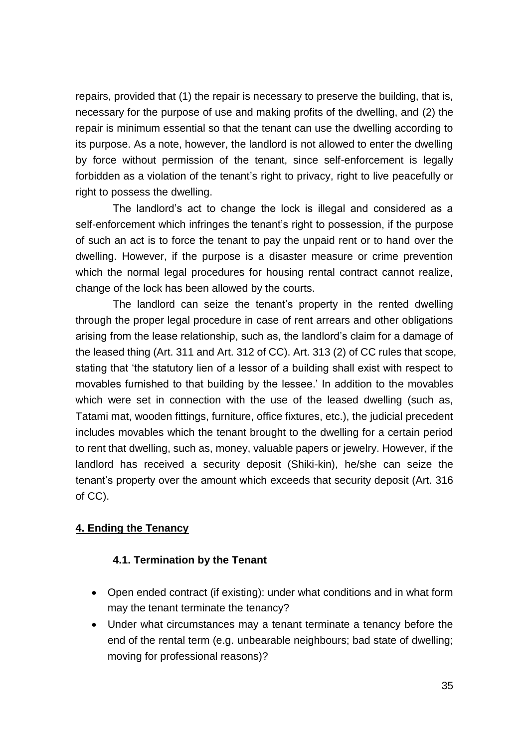repairs, provided that (1) the repair is necessary to preserve the building, that is, necessary for the purpose of use and making profits of the dwelling, and (2) the repair is minimum essential so that the tenant can use the dwelling according to its purpose. As a note, however, the landlord is not allowed to enter the dwelling by force without permission of the tenant, since self-enforcement is legally forbidden as a violation of the tenant's right to privacy, right to live peacefully or right to possess the dwelling.

The landlord's act to change the lock is illegal and considered as a self-enforcement which infringes the tenant's right to possession, if the purpose of such an act is to force the tenant to pay the unpaid rent or to hand over the dwelling. However, if the purpose is a disaster measure or crime prevention which the normal legal procedures for housing rental contract cannot realize, change of the lock has been allowed by the courts.

The landlord can seize the tenant's property in the rented dwelling through the proper legal procedure in case of rent arrears and other obligations arising from the lease relationship, such as, the landlord's claim for a damage of the leased thing (Art. 311 and Art. 312 of CC). Art. 313 (2) of CC rules that scope, stating that 'the statutory lien of a lessor of a building shall exist with respect to movables furnished to that building by the lessee.' In addition to the movables which were set in connection with the use of the leased dwelling (such as, Tatami mat, wooden fittings, furniture, office fixtures, etc.), the judicial precedent includes movables which the tenant brought to the dwelling for a certain period to rent that dwelling, such as, money, valuable papers or jewelry. However, if the landlord has received a security deposit (Shiki-kin), he/she can seize the tenant's property over the amount which exceeds that security deposit (Art. 316 of CC).

# <span id="page-34-0"></span>**4. Ending the Tenancy**

#### <span id="page-34-1"></span>**4.1. Termination by the Tenant**

- Open ended contract (if existing): under what conditions and in what form may the tenant terminate the tenancy?
- Under what circumstances may a tenant terminate a tenancy before the end of the rental term (e.g. unbearable neighbours; bad state of dwelling; moving for professional reasons)?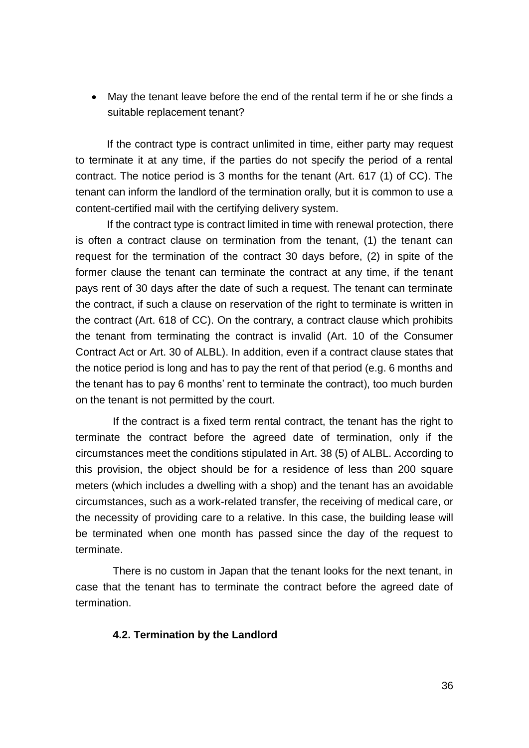May the tenant leave before the end of the rental term if he or she finds a suitable replacement tenant?

If the contract type is contract unlimited in time, either party may request to terminate it at any time, if the parties do not specify the period of a rental contract. The notice period is 3 months for the tenant (Art. 617 (1) of CC). The tenant can inform the landlord of the termination orally, but it is common to use a content-certified mail with the certifying delivery system.

If the contract type is contract limited in time with renewal protection, there is often a contract clause on termination from the tenant, (1) the tenant can request for the termination of the contract 30 days before, (2) in spite of the former clause the tenant can terminate the contract at any time, if the tenant pays rent of 30 days after the date of such a request. The tenant can terminate the contract, if such a clause on reservation of the right to terminate is written in the contract (Art. 618 of CC). On the contrary, a contract clause which prohibits the tenant from terminating the contract is invalid (Art. 10 of the Consumer Contract Act or Art. 30 of ALBL). In addition, even if a contract clause states that the notice period is long and has to pay the rent of that period (e.g. 6 months and the tenant has to pay 6 months' rent to terminate the contract), too much burden on the tenant is not permitted by the court.

If the contract is a fixed term rental contract, the tenant has the right to terminate the contract before the agreed date of termination, only if the circumstances meet the conditions stipulated in Art. 38 (5) of ALBL. According to this provision, the object should be for a residence of less than 200 square meters (which includes a dwelling with a shop) and the tenant has an avoidable circumstances, such as a work-related transfer, the receiving of medical care, or the necessity of providing care to a relative. In this case, the building lease will be terminated when one month has passed since the day of the request to terminate.

There is no custom in Japan that the tenant looks for the next tenant, in case that the tenant has to terminate the contract before the agreed date of termination.

#### <span id="page-35-0"></span>**4.2. Termination by the Landlord**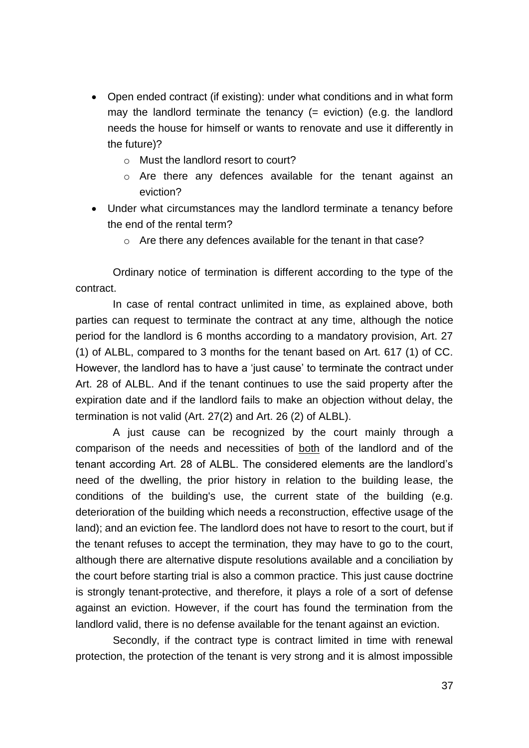- Open ended contract (if existing): under what conditions and in what form may the landlord terminate the tenancy  $(=$  eviction) (e.g. the landlord needs the house for himself or wants to renovate and use it differently in the future)?
	- o Must the landlord resort to court?
	- o Are there any defences available for the tenant against an eviction?
- Under what circumstances may the landlord terminate a tenancy before the end of the rental term?
	- o Are there any defences available for the tenant in that case?

Ordinary notice of termination is different according to the type of the contract.

In case of rental contract unlimited in time, as explained above, both parties can request to terminate the contract at any time, although the notice period for the landlord is 6 months according to a mandatory provision, Art. 27 (1) of ALBL, compared to 3 months for the tenant based on Art. 617 (1) of CC. However, the landlord has to have a 'just cause' to terminate the contract under Art. 28 of ALBL. And if the tenant continues to use the said property after the expiration date and if the landlord fails to make an objection without delay, the termination is not valid (Art. 27(2) and Art. 26 (2) of ALBL).

A just cause can be recognized by the court mainly through a comparison of the needs and necessities of both of the landlord and of the tenant according Art. 28 of ALBL. The considered elements are the landlord's need of the dwelling, the prior history in relation to the building lease, the conditions of the building's use, the current state of the building (e.g. deterioration of the building which needs a reconstruction, effective usage of the land); and an eviction fee. The landlord does not have to resort to the court, but if the tenant refuses to accept the termination, they may have to go to the court, although there are alternative dispute resolutions available and a conciliation by the court before starting trial is also a common practice. This just cause doctrine is strongly tenant-protective, and therefore, it plays a role of a sort of defense against an eviction. However, if the court has found the termination from the landlord valid, there is no defense available for the tenant against an eviction.

Secondly, if the contract type is contract limited in time with renewal protection, the protection of the tenant is very strong and it is almost impossible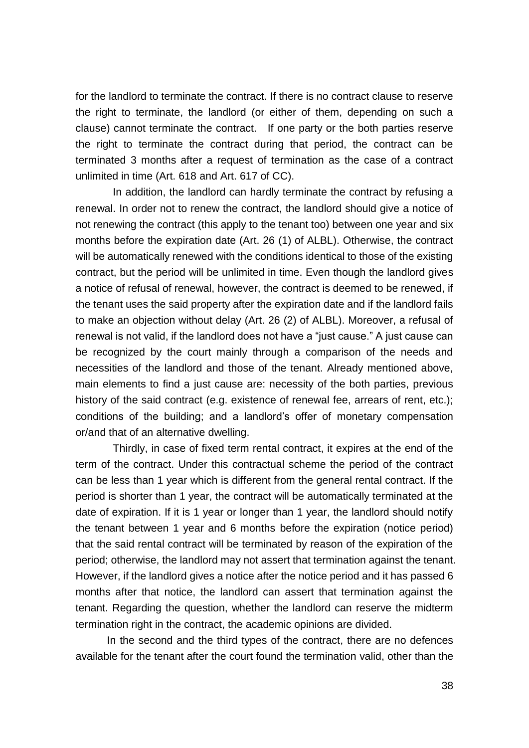for the landlord to terminate the contract. If there is no contract clause to reserve the right to terminate, the landlord (or either of them, depending on such a clause) cannot terminate the contract. If one party or the both parties reserve the right to terminate the contract during that period, the contract can be terminated 3 months after a request of termination as the case of a contract unlimited in time (Art. 618 and Art. 617 of CC).

In addition, the landlord can hardly terminate the contract by refusing a renewal. In order not to renew the contract, the landlord should give a notice of not renewing the contract (this apply to the tenant too) between one year and six months before the expiration date (Art. 26 (1) of ALBL). Otherwise, the contract will be automatically renewed with the conditions identical to those of the existing contract, but the period will be unlimited in time. Even though the landlord gives a notice of refusal of renewal, however, the contract is deemed to be renewed, if the tenant uses the said property after the expiration date and if the landlord fails to make an objection without delay (Art. 26 (2) of ALBL). Moreover, a refusal of renewal is not valid, if the landlord does not have a "just cause." A just cause can be recognized by the court mainly through a comparison of the needs and necessities of the landlord and those of the tenant. Already mentioned above, main elements to find a just cause are: necessity of the both parties, previous history of the said contract (e.g. existence of renewal fee, arrears of rent, etc.); conditions of the building; and a landlord's offer of monetary compensation or/and that of an alternative dwelling.

Thirdly, in case of fixed term rental contract, it expires at the end of the term of the contract. Under this contractual scheme the period of the contract can be less than 1 year which is different from the general rental contract. If the period is shorter than 1 year, the contract will be automatically terminated at the date of expiration. If it is 1 year or longer than 1 year, the landlord should notify the tenant between 1 year and 6 months before the expiration (notice period) that the said rental contract will be terminated by reason of the expiration of the period; otherwise, the landlord may not assert that termination against the tenant. However, if the landlord gives a notice after the notice period and it has passed 6 months after that notice, the landlord can assert that termination against the tenant. Regarding the question, whether the landlord can reserve the midterm termination right in the contract, the academic opinions are divided.

In the second and the third types of the contract, there are no defences available for the tenant after the court found the termination valid, other than the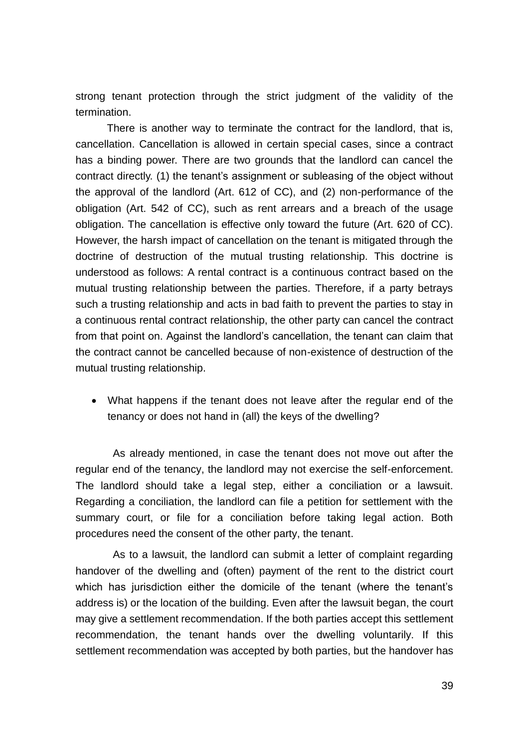strong tenant protection through the strict judgment of the validity of the termination.

There is another way to terminate the contract for the landlord, that is, cancellation. Cancellation is allowed in certain special cases, since a contract has a binding power. There are two grounds that the landlord can cancel the contract directly. (1) the tenant's assignment or subleasing of the object without the approval of the landlord (Art. 612 of CC), and (2) non-performance of the obligation (Art. 542 of CC), such as rent arrears and a breach of the usage obligation. The cancellation is effective only toward the future (Art. 620 of CC). However, the harsh impact of cancellation on the tenant is mitigated through the doctrine of destruction of the mutual trusting relationship. This doctrine is understood as follows: A rental contract is a continuous contract based on the mutual trusting relationship between the parties. Therefore, if a party betrays such a trusting relationship and acts in bad faith to prevent the parties to stay in a continuous rental contract relationship, the other party can cancel the contract from that point on. Against the landlord's cancellation, the tenant can claim that the contract cannot be cancelled because of non-existence of destruction of the mutual trusting relationship.

 What happens if the tenant does not leave after the regular end of the tenancy or does not hand in (all) the keys of the dwelling?

As already mentioned, in case the tenant does not move out after the regular end of the tenancy, the landlord may not exercise the self-enforcement. The landlord should take a legal step, either a conciliation or a lawsuit. Regarding a conciliation, the landlord can file a petition for settlement with the summary court, or file for a conciliation before taking legal action. Both procedures need the consent of the other party, the tenant.

As to a lawsuit, the landlord can submit a letter of complaint regarding handover of the dwelling and (often) payment of the rent to the district court which has jurisdiction either the domicile of the tenant (where the tenant's address is) or the location of the building. Even after the lawsuit began, the court may give a settlement recommendation. If the both parties accept this settlement recommendation, the tenant hands over the dwelling voluntarily. If this settlement recommendation was accepted by both parties, but the handover has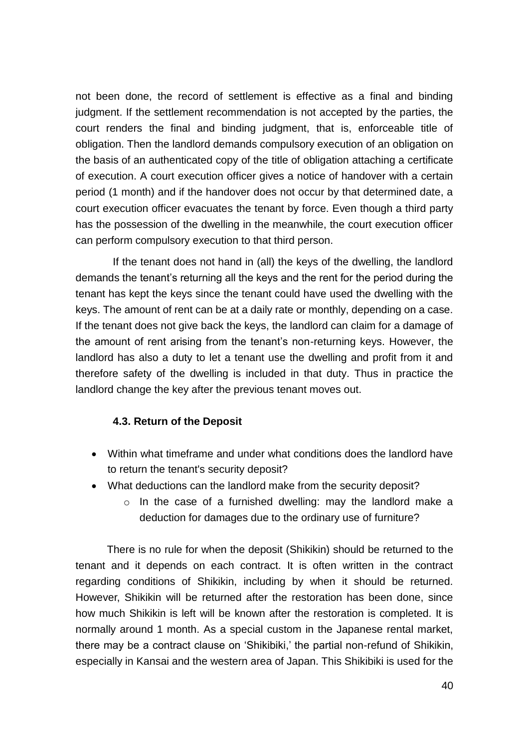not been done, the record of settlement is effective as a final and binding judgment. If the settlement recommendation is not accepted by the parties, the court renders the final and binding judgment, that is, enforceable title of obligation. Then the landlord demands compulsory execution of an obligation on the basis of an authenticated copy of the title of obligation attaching a certificate of execution. A court execution officer gives a notice of handover with a certain period (1 month) and if the handover does not occur by that determined date, a court execution officer evacuates the tenant by force. Even though a third party has the possession of the dwelling in the meanwhile, the court execution officer can perform compulsory execution to that third person.

If the tenant does not hand in (all) the keys of the dwelling, the landlord demands the tenant's returning all the keys and the rent for the period during the tenant has kept the keys since the tenant could have used the dwelling with the keys. The amount of rent can be at a daily rate or monthly, depending on a case. If the tenant does not give back the keys, the landlord can claim for a damage of the amount of rent arising from the tenant's non-returning keys. However, the landlord has also a duty to let a tenant use the dwelling and profit from it and therefore safety of the dwelling is included in that duty. Thus in practice the landlord change the key after the previous tenant moves out.

#### <span id="page-39-0"></span>**4.3. Return of the Deposit**

- Within what timeframe and under what conditions does the landlord have to return the tenant's security deposit?
- What deductions can the landlord make from the security deposit?
	- o In the case of a furnished dwelling: may the landlord make a deduction for damages due to the ordinary use of furniture?

There is no rule for when the deposit (Shikikin) should be returned to the tenant and it depends on each contract. It is often written in the contract regarding conditions of Shikikin, including by when it should be returned. However, Shikikin will be returned after the restoration has been done, since how much Shikikin is left will be known after the restoration is completed. It is normally around 1 month. As a special custom in the Japanese rental market, there may be a contract clause on 'Shikibiki,' the partial non-refund of Shikikin, especially in Kansai and the western area of Japan. This Shikibiki is used for the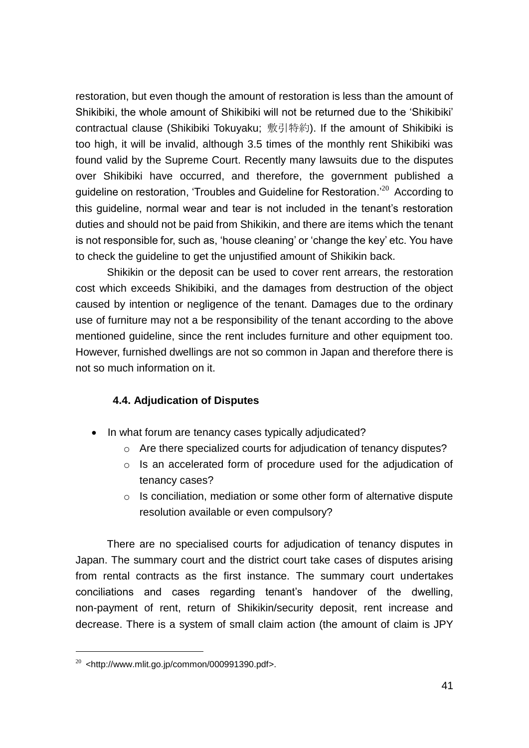restoration, but even though the amount of restoration is less than the amount of Shikibiki, the whole amount of Shikibiki will not be returned due to the 'Shikibiki' contractual clause (Shikibiki Tokuyaku; 敷引特約). If the amount of Shikibiki is too high, it will be invalid, although 3.5 times of the monthly rent Shikibiki was found valid by the Supreme Court. Recently many lawsuits due to the disputes over Shikibiki have occurred, and therefore, the government published a guideline on restoration, 'Troubles and Guideline for Restoration.'<sup>20</sup> According to this guideline, normal wear and tear is not included in the tenant's restoration duties and should not be paid from Shikikin, and there are items which the tenant is not responsible for, such as, 'house cleaning' or 'change the key' etc. You have to check the guideline to get the unjustified amount of Shikikin back.

Shikikin or the deposit can be used to cover rent arrears, the restoration cost which exceeds Shikibiki, and the damages from destruction of the object caused by intention or negligence of the tenant. Damages due to the ordinary use of furniture may not a be responsibility of the tenant according to the above mentioned guideline, since the rent includes furniture and other equipment too. However, furnished dwellings are not so common in Japan and therefore there is not so much information on it.

#### <span id="page-40-0"></span>**4.4. Adjudication of Disputes**

- In what forum are tenancy cases typically adjudicated?
	- o Are there specialized courts for adjudication of tenancy disputes?
	- o Is an accelerated form of procedure used for the adjudication of tenancy cases?
	- o Is conciliation, mediation or some other form of alternative dispute resolution available or even compulsory?

There are no specialised courts for adjudication of tenancy disputes in Japan. The summary court and the district court take cases of disputes arising from rental contracts as the first instance. The summary court undertakes conciliations and cases regarding tenant's handover of the dwelling, non-payment of rent, return of Shikikin/security deposit, rent increase and decrease. There is a system of small claim action (the amount of claim is JPY

 $20$  <http://www.mlit.go.jp/common/000991390.pdf>.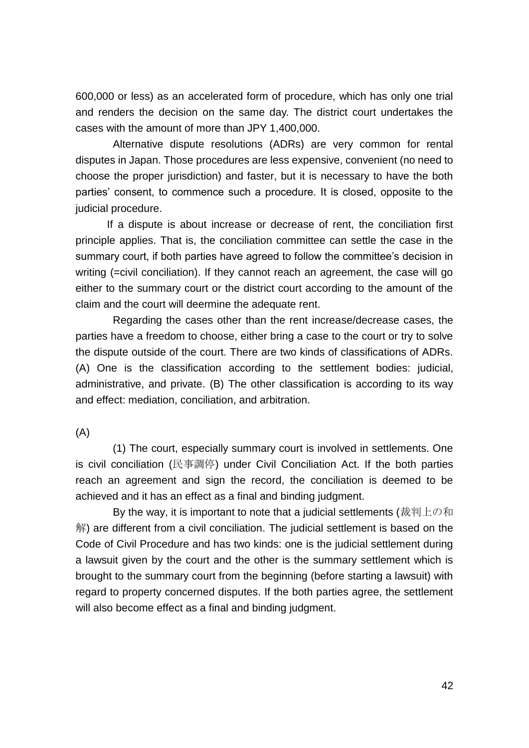600,000 or less) as an accelerated form of procedure, which has only one trial and renders the decision on the same day. The district court undertakes the cases with the amount of more than JPY 1,400,000.

Alternative dispute resolutions (ADRs) are very common for rental disputes in Japan. Those procedures are less expensive, convenient (no need to choose the proper jurisdiction) and faster, but it is necessary to have the both parties' consent, to commence such a procedure. It is closed, opposite to the judicial procedure.

If a dispute is about increase or decrease of rent, the conciliation first principle applies. That is, the conciliation committee can settle the case in the summary court, if both parties have agreed to follow the committee's decision in writing (=civil conciliation). If they cannot reach an agreement, the case will go either to the summary court or the district court according to the amount of the claim and the court will deermine the adequate rent.

Regarding the cases other than the rent increase/decrease cases, the parties have a freedom to choose, either bring a case to the court or try to solve the dispute outside of the court. There are two kinds of classifications of ADRs. (A) One is the classification according to the settlement bodies: judicial, administrative, and private. (B) The other classification is according to its way and effect: mediation, conciliation, and arbitration.

(A)

(1) The court, especially summary court is involved in settlements. One is civil conciliation (民事調停) under Civil Conciliation Act. If the both parties reach an agreement and sign the record, the conciliation is deemed to be achieved and it has an effect as a final and binding judgment.

By the way, it is important to note that a judicial settlements (裁判上の和 解) are different from a civil conciliation. The judicial settlement is based on the Code of Civil Procedure and has two kinds: one is the judicial settlement during a lawsuit given by the court and the other is the summary settlement which is brought to the summary court from the beginning (before starting a lawsuit) with regard to property concerned disputes. If the both parties agree, the settlement will also become effect as a final and binding judgment.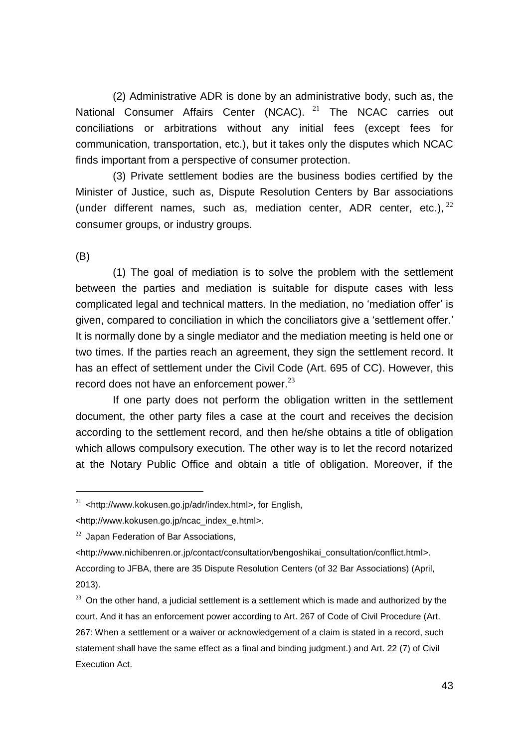(2) Administrative ADR is done by an administrative body, such as, the National Consumer Affairs Center (NCAC). <sup>21</sup> The NCAC carries out conciliations or arbitrations without any initial fees (except fees for communication, transportation, etc.), but it takes only the disputes which NCAC finds important from a perspective of consumer protection.

(3) Private settlement bodies are the business bodies certified by the Minister of Justice, such as, Dispute Resolution Centers by Bar associations (under different names, such as, mediation center, ADR center, etc.),  $^{22}$ consumer groups, or industry groups.

(B)

1

(1) The goal of mediation is to solve the problem with the settlement between the parties and mediation is suitable for dispute cases with less complicated legal and technical matters. In the mediation, no 'mediation offer' is given, compared to conciliation in which the conciliators give a 'settlement offer.' It is normally done by a single mediator and the mediation meeting is held one or two times. If the parties reach an agreement, they sign the settlement record. It has an effect of settlement under the Civil Code (Art. 695 of CC). However, this record does not have an enforcement power. $^{23}$ 

If one party does not perform the obligation written in the settlement document, the other party files a case at the court and receives the decision according to the settlement record, and then he/she obtains a title of obligation which allows compulsory execution. The other way is to let the record notarized at the Notary Public Office and obtain a title of obligation. Moreover, if the

<sup>21</sup> <http://www.kokusen.go.jp/adr/index.html>, for English,

<sup>&</sup>lt;http://www.kokusen.go.jp/ncac\_index\_e.html>.

 $22$  Japan Federation of Bar Associations,

<sup>&</sup>lt;http://www.nichibenren.or.jp/contact/consultation/bengoshikai\_consultation/conflict.html>. According to JFBA, there are 35 Dispute Resolution Centers (of 32 Bar Associations) (April, 2013).

 $23$  On the other hand, a judicial settlement is a settlement which is made and authorized by the court. And it has an enforcement power according to Art. 267 of Code of Civil Procedure (Art. 267: When a settlement or a waiver or acknowledgement of a claim is stated in a record, such statement shall have the same effect as a final and binding judgment.) and Art. 22 (7) of Civil Execution Act.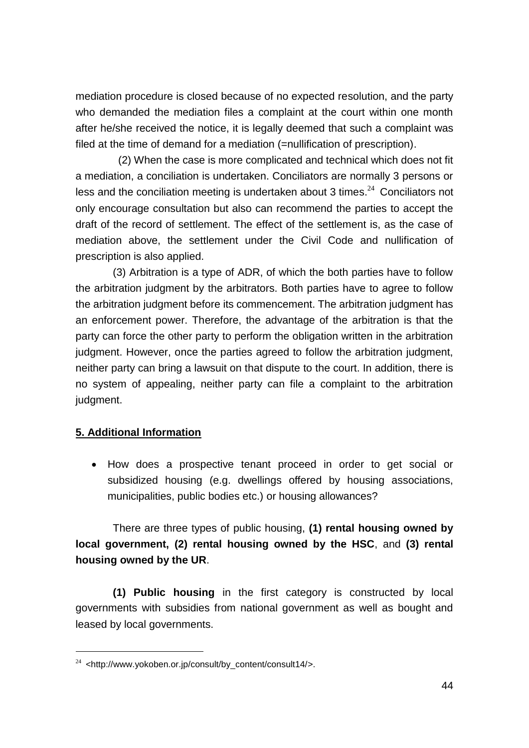mediation procedure is closed because of no expected resolution, and the party who demanded the mediation files a complaint at the court within one month after he/she received the notice, it is legally deemed that such a complaint was filed at the time of demand for a mediation (=nullification of prescription).

(2) When the case is more complicated and technical which does not fit a mediation, a conciliation is undertaken. Conciliators are normally 3 persons or less and the conciliation meeting is undertaken about 3 times. $24$  Conciliators not only encourage consultation but also can recommend the parties to accept the draft of the record of settlement. The effect of the settlement is, as the case of mediation above, the settlement under the Civil Code and nullification of prescription is also applied.

(3) Arbitration is a type of ADR, of which the both parties have to follow the arbitration judgment by the arbitrators. Both parties have to agree to follow the arbitration judgment before its commencement. The arbitration judgment has an enforcement power. Therefore, the advantage of the arbitration is that the party can force the other party to perform the obligation written in the arbitration judgment. However, once the parties agreed to follow the arbitration judgment, neither party can bring a lawsuit on that dispute to the court. In addition, there is no system of appealing, neither party can file a complaint to the arbitration judgment.

#### <span id="page-43-0"></span>**5. Additional Information**

1

 How does a prospective tenant proceed in order to get social or subsidized housing (e.g. dwellings offered by housing associations, municipalities, public bodies etc.) or housing allowances?

There are three types of public housing, **(1) rental housing owned by local government, (2) rental housing owned by the HSC**, and **(3) rental housing owned by the UR**.

**(1) Public housing** in the first category is constructed by local governments with subsidies from national government as well as bought and leased by local governments.

 $24$  <http://www.yokoben.or.jp/consult/by\_content/consult14/>.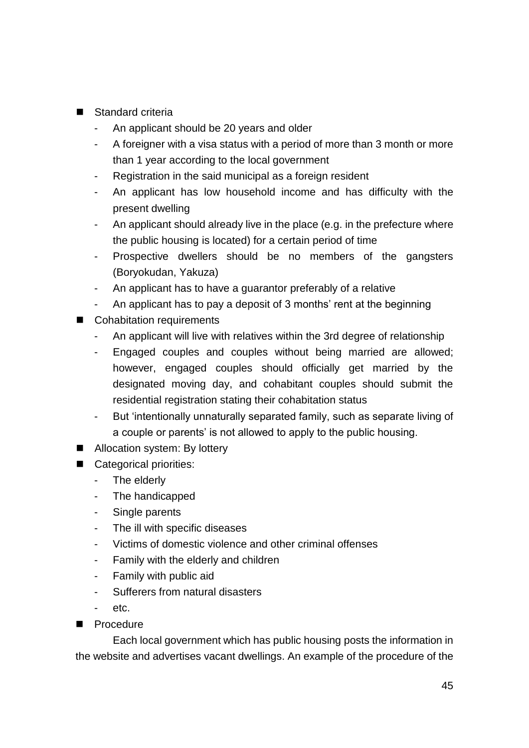- Standard criteria
	- An applicant should be 20 years and older
	- A foreigner with a visa status with a period of more than 3 month or more than 1 year according to the local government
	- Registration in the said municipal as a foreign resident
	- An applicant has low household income and has difficulty with the present dwelling
	- An applicant should already live in the place (e.g. in the prefecture where the public housing is located) for a certain period of time
	- Prospective dwellers should be no members of the gangsters (Boryokudan, Yakuza)
	- An applicant has to have a guarantor preferably of a relative
	- An applicant has to pay a deposit of 3 months' rent at the beginning
- Cohabitation requirements
	- An applicant will live with relatives within the 3rd degree of relationship
	- Engaged couples and couples without being married are allowed; however, engaged couples should officially get married by the designated moving day, and cohabitant couples should submit the residential registration stating their cohabitation status
	- But 'intentionally unnaturally separated family, such as separate living of a couple or parents' is not allowed to apply to the public housing.
- Allocation system: By lottery
- Categorical priorities:
	- The elderly
	- The handicapped
	- Single parents
	- The ill with specific diseases
	- Victims of domestic violence and other criminal offenses
	- Family with the elderly and children
	- Family with public aid
	- Sufferers from natural disasters
	- etc.
- **Procedure**

Each local government which has public housing posts the information in the website and advertises vacant dwellings. An example of the procedure of the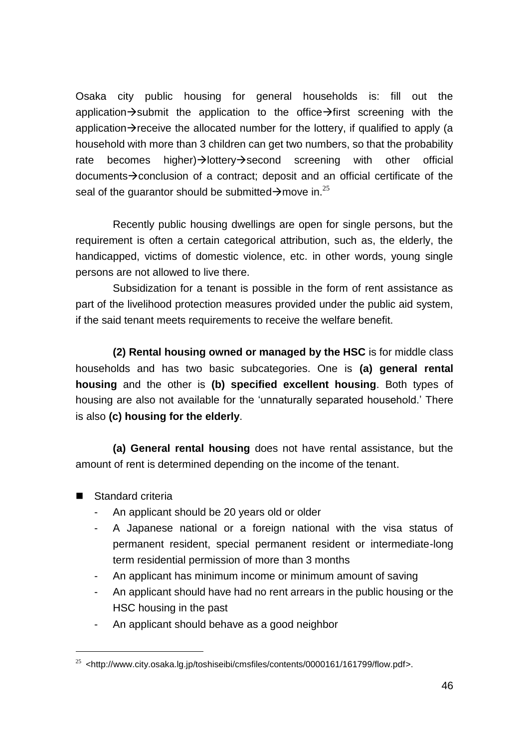Osaka city public housing for general households is: fill out the application $\rightarrow$ submit the application to the office $\rightarrow$ first screening with the application $\rightarrow$  receive the allocated number for the lottery, if qualified to apply (a household with more than 3 children can get two numbers, so that the probability rate becomes higher) $\rightarrow$ lottery $\rightarrow$ second screening with other official documents $\rightarrow$  conclusion of a contract; deposit and an official certificate of the seal of the quarantor should be submitted  $\rightarrow$  move in.<sup>25</sup>

Recently public housing dwellings are open for single persons, but the requirement is often a certain categorical attribution, such as, the elderly, the handicapped, victims of domestic violence, etc. in other words, young single persons are not allowed to live there.

Subsidization for a tenant is possible in the form of rent assistance as part of the livelihood protection measures provided under the public aid system, if the said tenant meets requirements to receive the welfare benefit.

**(2) Rental housing owned or managed by the HSC** is for middle class households and has two basic subcategories. One is **(a) general rental housing** and the other is **(b) specified excellent housing**. Both types of housing are also not available for the 'unnaturally separated household.' There is also **(c) housing for the elderly**.

**(a) General rental housing** does not have rental assistance, but the amount of rent is determined depending on the income of the tenant.

■ Standard criteria

- An applicant should be 20 years old or older
- A Japanese national or a foreign national with the visa status of permanent resident, special permanent resident or intermediate-long term residential permission of more than 3 months
- An applicant has minimum income or minimum amount of saving
- An applicant should have had no rent arrears in the public housing or the HSC housing in the past
- An applicant should behave as a good neighbor

 $^{25}$  <http://www.city.osaka.lg.jp/toshiseibi/cmsfiles/contents/0000161/161799/flow.pdf>.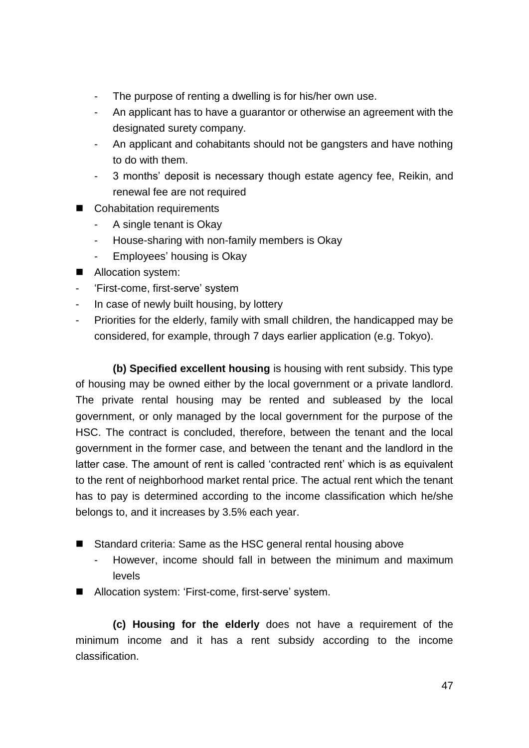- The purpose of renting a dwelling is for his/her own use.
- An applicant has to have a guarantor or otherwise an agreement with the designated surety company.
- An applicant and cohabitants should not be gangsters and have nothing to do with them.
- 3 months' deposit is necessary though estate agency fee, Reikin, and renewal fee are not required
- Cohabitation requirements
	- A single tenant is Okay
	- House-sharing with non-family members is Okay
	- Employees' housing is Okay
- Allocation system:
- 'First-come, first-serve' system
- In case of newly built housing, by lottery
- Priorities for the elderly, family with small children, the handicapped may be considered, for example, through 7 days earlier application (e.g. Tokyo).

**(b) Specified excellent housing** is housing with rent subsidy. This type of housing may be owned either by the local government or a private landlord. The private rental housing may be rented and subleased by the local government, or only managed by the local government for the purpose of the HSC. The contract is concluded, therefore, between the tenant and the local government in the former case, and between the tenant and the landlord in the latter case. The amount of rent is called 'contracted rent' which is as equivalent to the rent of neighborhood market rental price. The actual rent which the tenant has to pay is determined according to the income classification which he/she belongs to, and it increases by 3.5% each year.

- Standard criteria: Same as the HSC general rental housing above
	- However, income should fall in between the minimum and maximum levels
- Allocation system: 'First-come, first-serve' system.

**(c) Housing for the elderly** does not have a requirement of the minimum income and it has a rent subsidy according to the income classification.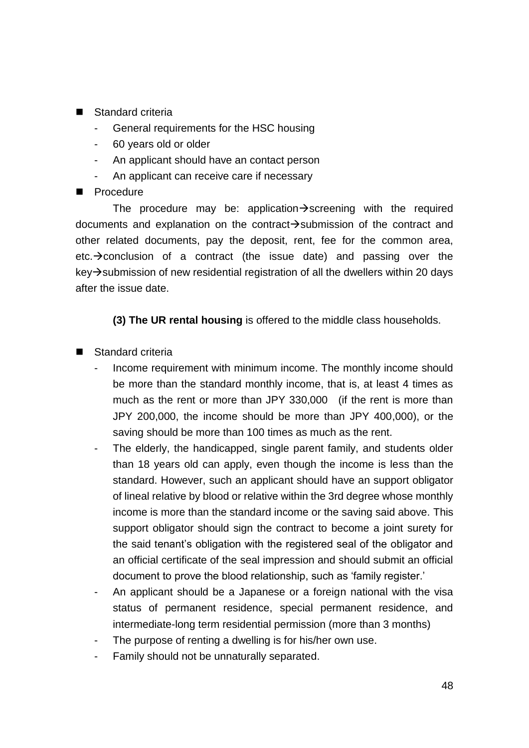- Standard criteria
	- General requirements for the HSC housing
	- 60 years old or older
	- An applicant should have an contact person
	- An applicant can receive care if necessary
- **Procedure**

The procedure may be: application $\rightarrow$ screening with the required documents and explanation on the contract $\rightarrow$ submission of the contract and other related documents, pay the deposit, rent, fee for the common area, etc. $\rightarrow$  conclusion of a contract (the issue date) and passing over the  $key\rightarrow$  submission of new residential registration of all the dwellers within 20 days after the issue date.

**(3) The UR rental housing** is offered to the middle class households.

- Standard criteria
	- Income requirement with minimum income. The monthly income should be more than the standard monthly income, that is, at least 4 times as much as the rent or more than JPY 330,000 (if the rent is more than JPY 200,000, the income should be more than JPY 400,000), or the saving should be more than 100 times as much as the rent.
	- The elderly, the handicapped, single parent family, and students older than 18 years old can apply, even though the income is less than the standard. However, such an applicant should have an support obligator of lineal relative by blood or relative within the 3rd degree whose monthly income is more than the standard income or the saving said above. This support obligator should sign the contract to become a joint surety for the said tenant's obligation with the registered seal of the obligator and an official certificate of the seal impression and should submit an official document to prove the blood relationship, such as 'family register.'
	- An applicant should be a Japanese or a foreign national with the visa status of permanent residence, special permanent residence, and intermediate-long term residential permission (more than 3 months)
	- The purpose of renting a dwelling is for his/her own use.
	- Family should not be unnaturally separated.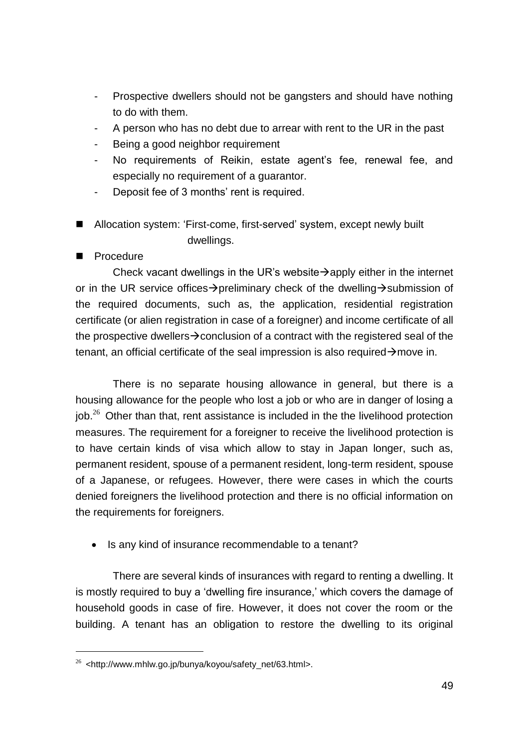- Prospective dwellers should not be gangsters and should have nothing to do with them.
- A person who has no debt due to arrear with rent to the UR in the past
- Being a good neighbor requirement
- No requirements of Reikin, estate agent's fee, renewal fee, and especially no requirement of a guarantor.
- Deposit fee of 3 months' rent is required.
- Allocation system: 'First-come, first-served' system, except newly built dwellings.
- Procedure

1

Check vacant dwellings in the UR's website  $\rightarrow$  apply either in the internet or in the UR service offices  $\rightarrow$  preliminary check of the dwelling  $\rightarrow$  submission of the required documents, such as, the application, residential registration certificate (or alien registration in case of a foreigner) and income certificate of all the prospective dwellers  $\rightarrow$  conclusion of a contract with the registered seal of the tenant, an official certificate of the seal impression is also required  $\rightarrow$  move in.

There is no separate housing allowance in general, but there is a housing allowance for the people who lost a job or who are in danger of losing a  $10b<sup>26</sup>$  Other than that, rent assistance is included in the the livelihood protection measures. The requirement for a foreigner to receive the livelihood protection is to have certain kinds of visa which allow to stay in Japan longer, such as, permanent resident, spouse of a permanent resident, long-term resident, spouse of a Japanese, or refugees. However, there were cases in which the courts denied foreigners the livelihood protection and there is no official information on the requirements for foreigners.

• Is any kind of insurance recommendable to a tenant?

There are several kinds of insurances with regard to renting a dwelling. It is mostly required to buy a 'dwelling fire insurance,' which covers the damage of household goods in case of fire. However, it does not cover the room or the building. A tenant has an obligation to restore the dwelling to its original

 $26$  <http://www.mhlw.go.jp/bunya/koyou/safety\_net/63.html>.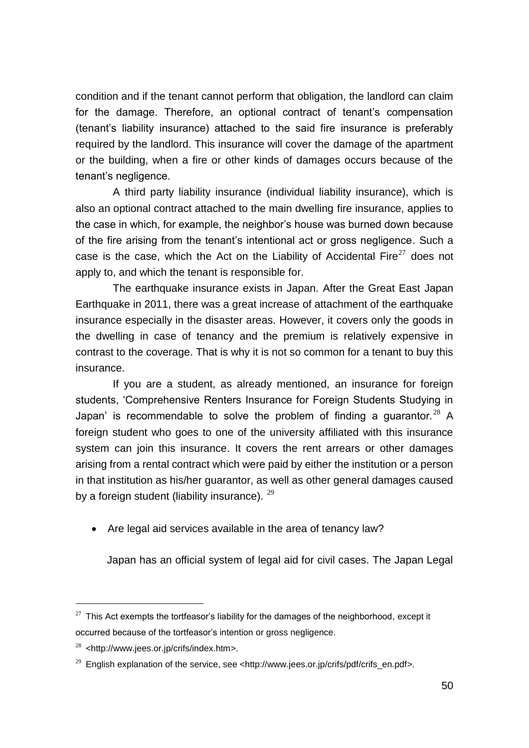condition and if the tenant cannot perform that obligation, the landlord can claim for the damage. Therefore, an optional contract of tenant's compensation (tenant's liability insurance) attached to the said fire insurance is preferably required by the landlord. This insurance will cover the damage of the apartment or the building, when a fire or other kinds of damages occurs because of the tenant's negligence.

A third party liability insurance (individual liability insurance), which is also an optional contract attached to the main dwelling fire insurance, applies to the case in which, for example, the neighbor's house was burned down because of the fire arising from the tenant's intentional act or gross negligence. Such a case is the case, which the Act on the Liability of Accidental Fire $^{27}$  does not apply to, and which the tenant is responsible for.

The earthquake insurance exists in Japan. After the Great East Japan Earthquake in 2011, there was a great increase of attachment of the earthquake insurance especially in the disaster areas. However, it covers only the goods in the dwelling in case of tenancy and the premium is relatively expensive in contrast to the coverage. That is why it is not so common for a tenant to buy this insurance.

If you are a student, as already mentioned, an insurance for foreign students, 'Comprehensive Renters Insurance for Foreign Students Studying in Japan' is recommendable to solve the problem of finding a quarantor.<sup>28</sup> A foreign student who goes to one of the university affiliated with this insurance system can join this insurance. It covers the rent arrears or other damages arising from a rental contract which were paid by either the institution or a person in that institution as his/her guarantor, as well as other general damages caused by a foreign student (liability insurance).  $^{29}$ 

• Are legal aid services available in the area of tenancy law?

Japan has an official system of legal aid for civil cases. The Japan Legal

 $27$  This Act exempts the tortfeasor's liability for the damages of the neighborhood, except it occurred because of the tortfeasor's intention or gross negligence.

 $28$  <http://www.jees.or.jp/crifs/index.htm>.

<sup>&</sup>lt;sup>29</sup> English explanation of the service, see <http://www.jees.or.jp/crifs/pdf/crifs\_en.pdf>.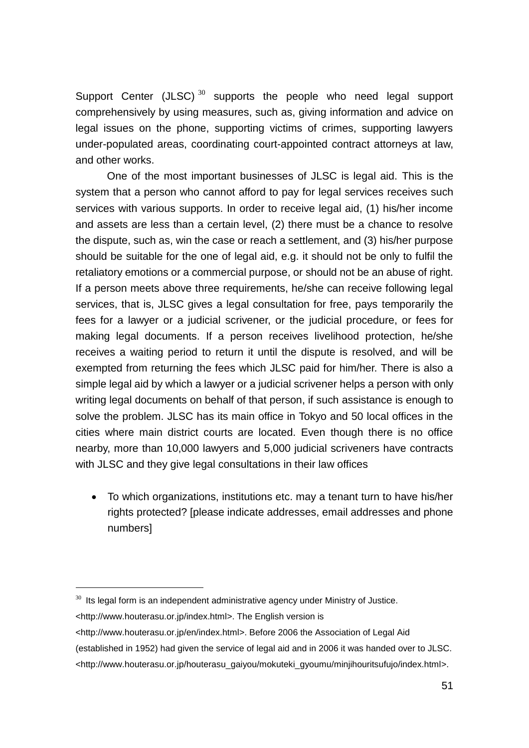Support Center  $(JLSC)$ <sup>30</sup> supports the people who need legal support comprehensively by using measures, such as, giving information and advice on legal issues on the phone, supporting victims of crimes, supporting lawyers under-populated areas, coordinating court-appointed contract attorneys at law, and other works.

One of the most important businesses of JLSC is legal aid. This is the system that a person who cannot afford to pay for legal services receives such services with various supports. In order to receive legal aid, (1) his/her income and assets are less than a certain level, (2) there must be a chance to resolve the dispute, such as, win the case or reach a settlement, and (3) his/her purpose should be suitable for the one of legal aid, e.g. it should not be only to fulfil the retaliatory emotions or a commercial purpose, or should not be an abuse of right. If a person meets above three requirements, he/she can receive following legal services, that is, JLSC gives a legal consultation for free, pays temporarily the fees for a lawyer or a judicial scrivener, or the judicial procedure, or fees for making legal documents. If a person receives livelihood protection, he/she receives a waiting period to return it until the dispute is resolved, and will be exempted from returning the fees which JLSC paid for him/her. There is also a simple legal aid by which a lawyer or a judicial scrivener helps a person with only writing legal documents on behalf of that person, if such assistance is enough to solve the problem. JLSC has its main office in Tokyo and 50 local offices in the cities where main district courts are located. Even though there is no office nearby, more than 10,000 lawyers and 5,000 judicial scriveners have contracts with JLSC and they give legal consultations in their law offices

 To which organizations, institutions etc. may a tenant turn to have his/her rights protected? [please indicate addresses, email addresses and phone numbers]

 $30$  Its legal form is an independent administrative agency under Ministry of Justice.

<sup>&</sup>lt;http://www.houterasu.or.jp/index.html>. The English version is

<sup>&</sup>lt;http://www.houterasu.or.jp/en/index.html>. Before 2006 the Association of Legal Aid

<sup>(</sup>established in 1952) had given the service of legal aid and in 2006 it was handed over to JLSC.

<sup>&</sup>lt;http://www.houterasu.or.jp/houterasu\_gaiyou/mokuteki\_gyoumu/minjihouritsufujo/index.html>.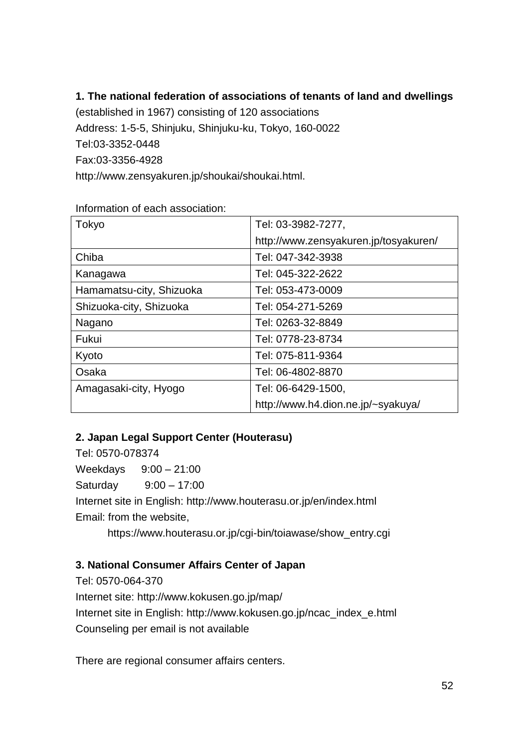# **1. The national federation of associations of tenants of land and dwellings**

(established in 1967) consisting of 120 associations Address: 1-5-5, Shinjuku, Shinjuku-ku, Tokyo, 160-0022 Tel:03-3352-0448 Fax:03-3356-4928 http://www.zensyakuren.jp/shoukai/shoukai.html.

| Tokyo                    | Tel: 03-3982-7277,                    |
|--------------------------|---------------------------------------|
|                          | http://www.zensyakuren.jp/tosyakuren/ |
| Chiba                    | Tel: 047-342-3938                     |
| Kanagawa                 | Tel: 045-322-2622                     |
| Hamamatsu-city, Shizuoka | Tel: 053-473-0009                     |
| Shizuoka-city, Shizuoka  | Tel: 054-271-5269                     |
| Nagano                   | Tel: 0263-32-8849                     |
| Fukui                    | Tel: 0778-23-8734                     |
| Kyoto                    | Tel: 075-811-9364                     |
| Osaka                    | Tel: 06-4802-8870                     |
| Amagasaki-city, Hyogo    | Tel: 06-6429-1500,                    |
|                          | http://www.h4.dion.ne.jp/~syakuya/    |

Information of each association:

# **2. Japan Legal Support Center (Houterasu)**

Tel: 0570-078374 Weekdays 9:00 – 21:00 Saturday 9:00 – 17:00 Internet site in English: http://www.houterasu.or.jp/en/index.html Email: from the website, https://www.houterasu.or.jp/cgi-bin/toiawase/show\_entry.cgi

# **3. National Consumer Affairs Center of Japan**

Tel: 0570-064-370 Internet site: http://www.kokusen.go.jp/map/ Internet site in English: http://www.kokusen.go.jp/ncac\_index\_e.html Counseling per email is not available

There are regional consumer affairs centers.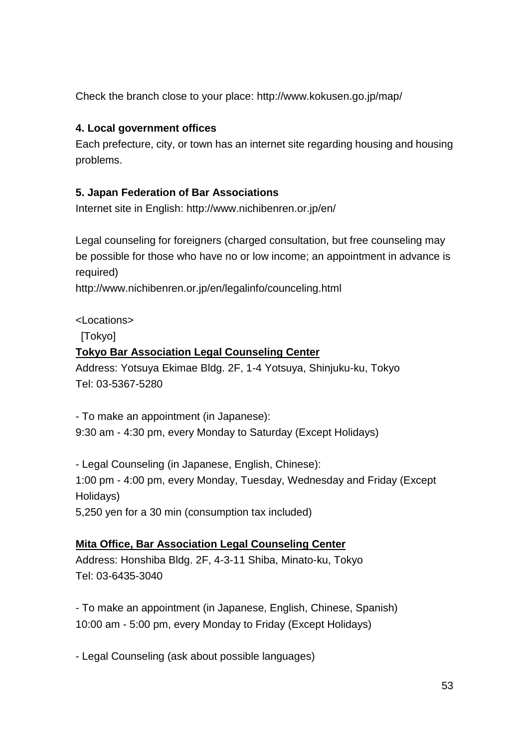Check the branch close to your place: http://www.kokusen.go.jp/map/

# **4. Local government offices**

Each prefecture, city, or town has an internet site regarding housing and housing problems.

# **5. Japan Federation of Bar Associations**

Internet site in English: http://www.nichibenren.or.jp/en/

Legal counseling for foreigners (charged consultation, but free counseling may be possible for those who have no or low income; an appointment in advance is required)

http://www.nichibenren.or.jp/en/legalinfo/counceling.html

# <Locations>

[Tokyo]

# **Tokyo Bar Association Legal Counseling Center**

Address: Yotsuya Ekimae Bldg. 2F, 1-4 Yotsuya, Shinjuku-ku, Tokyo Tel: 03-5367-5280

- To make an appointment (in Japanese): 9:30 am - 4:30 pm, every Monday to Saturday (Except Holidays)

- Legal Counseling (in Japanese, English, Chinese): 1:00 pm - 4:00 pm, every Monday, Tuesday, Wednesday and Friday (Except Holidays) 5,250 yen for a 30 min (consumption tax included)

# **Mita Office, Bar Association Legal Counseling Center**

Address: Honshiba Bldg. 2F, 4-3-11 Shiba, Minato-ku, Tokyo Tel: 03-6435-3040

- To make an appointment (in Japanese, English, Chinese, Spanish) 10:00 am - 5:00 pm, every Monday to Friday (Except Holidays)

- Legal Counseling (ask about possible languages)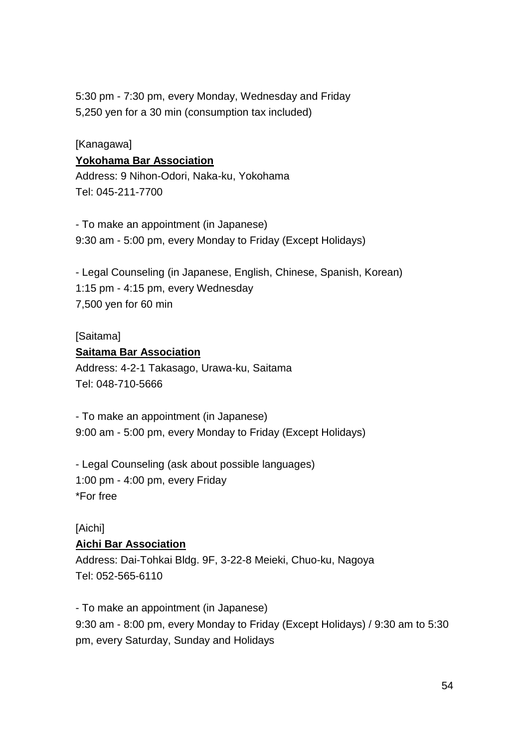5:30 pm - 7:30 pm, every Monday, Wednesday and Friday 5,250 yen for a 30 min (consumption tax included)

# [Kanagawa] **Yokohama Bar Association**

Address: 9 Nihon-Odori, Naka-ku, Yokohama Tel: 045-211-7700

- To make an appointment (in Japanese) 9:30 am - 5:00 pm, every Monday to Friday (Except Holidays)

- Legal Counseling (in Japanese, English, Chinese, Spanish, Korean) 1:15 pm - 4:15 pm, every Wednesday 7,500 yen for 60 min

#### [Saitama]

#### **Saitama Bar Association**

Address: 4-2-1 Takasago, Urawa-ku, Saitama Tel: 048-710-5666

- To make an appointment (in Japanese) 9:00 am - 5:00 pm, every Monday to Friday (Except Holidays)

- Legal Counseling (ask about possible languages) 1:00 pm - 4:00 pm, every Friday \*For free

# [Aichi]

# **Aichi Bar Association**

Address: Dai-Tohkai Bldg. 9F, 3-22-8 Meieki, Chuo-ku, Nagoya Tel: 052-565-6110

- To make an appointment (in Japanese) 9:30 am - 8:00 pm, every Monday to Friday (Except Holidays) / 9:30 am to 5:30 pm, every Saturday, Sunday and Holidays